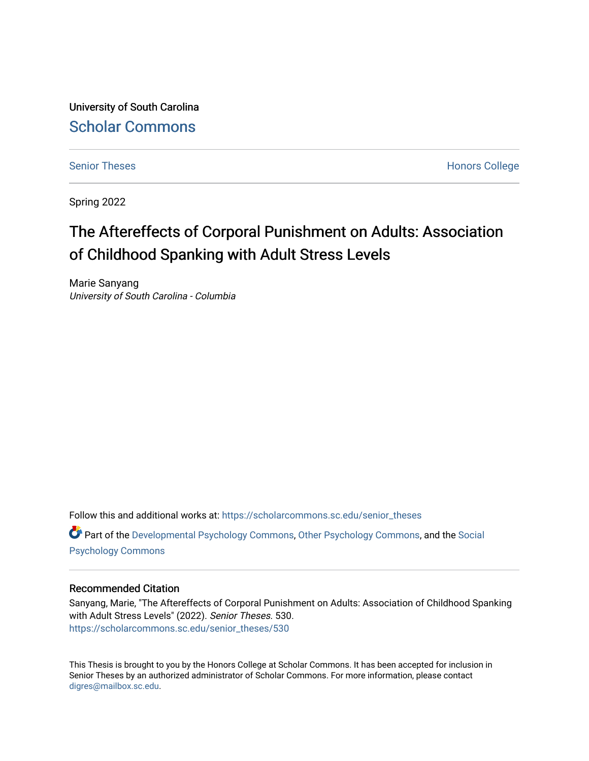University of South Carolina [Scholar Commons](https://scholarcommons.sc.edu/) 

[Senior Theses](https://scholarcommons.sc.edu/senior_theses) **Honors College** Honors College

Spring 2022

# The Aftereffects of Corporal Punishment on Adults: Association of Childhood Spanking with Adult Stress Levels

Marie Sanyang University of South Carolina - Columbia

Follow this and additional works at: [https://scholarcommons.sc.edu/senior\\_theses](https://scholarcommons.sc.edu/senior_theses?utm_source=scholarcommons.sc.edu%2Fsenior_theses%2F530&utm_medium=PDF&utm_campaign=PDFCoverPages)  Part of the [Developmental Psychology Commons,](http://network.bepress.com/hgg/discipline/410?utm_source=scholarcommons.sc.edu%2Fsenior_theses%2F530&utm_medium=PDF&utm_campaign=PDFCoverPages) [Other Psychology Commons,](http://network.bepress.com/hgg/discipline/415?utm_source=scholarcommons.sc.edu%2Fsenior_theses%2F530&utm_medium=PDF&utm_campaign=PDFCoverPages) and the [Social](http://network.bepress.com/hgg/discipline/414?utm_source=scholarcommons.sc.edu%2Fsenior_theses%2F530&utm_medium=PDF&utm_campaign=PDFCoverPages)  [Psychology Commons](http://network.bepress.com/hgg/discipline/414?utm_source=scholarcommons.sc.edu%2Fsenior_theses%2F530&utm_medium=PDF&utm_campaign=PDFCoverPages) 

### Recommended Citation

Sanyang, Marie, "The Aftereffects of Corporal Punishment on Adults: Association of Childhood Spanking with Adult Stress Levels" (2022). Senior Theses. 530. [https://scholarcommons.sc.edu/senior\\_theses/530](https://scholarcommons.sc.edu/senior_theses/530?utm_source=scholarcommons.sc.edu%2Fsenior_theses%2F530&utm_medium=PDF&utm_campaign=PDFCoverPages) 

This Thesis is brought to you by the Honors College at Scholar Commons. It has been accepted for inclusion in Senior Theses by an authorized administrator of Scholar Commons. For more information, please contact [digres@mailbox.sc.edu](mailto:digres@mailbox.sc.edu).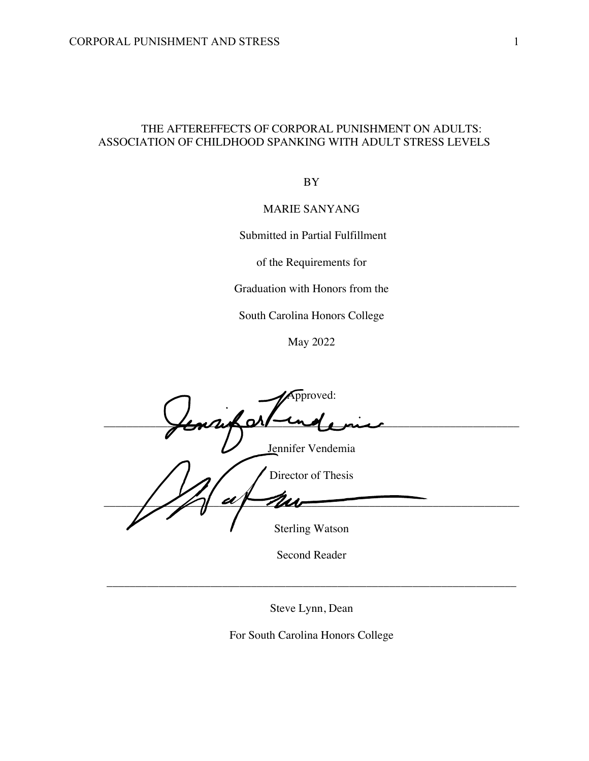## THE AFTEREFFECTS OF CORPORAL PUNISHMENT ON ADULTS: ASSOCIATION OF CHILDHOOD SPANKING WITH ADULT STRESS LEVELS

BY

### MARIE SANYANG

Submitted in Partial Fulfillment

of the Requirements for

Graduation with Honors from the

South Carolina Honors College

May 2022

Approved:  $\frac{1}{2}$  and  $\frac{1}{2}$  and  $\frac{1}{2}$  and  $\frac{1}{2}$  and  $\frac{1}{2}$ Jennifer Vendemia Director of Thesis  $\frac{1}{2}$ Sterling Watson

Second Reader

\_\_\_\_\_\_\_\_\_\_\_\_\_\_\_\_\_\_\_\_\_\_\_\_\_\_\_\_\_\_\_\_\_\_\_\_\_\_\_\_\_\_\_\_\_\_\_\_\_\_\_\_\_\_\_\_\_\_\_\_\_\_\_\_\_\_\_\_\_\_\_

Steve Lynn, Dean

For South Carolina Honors College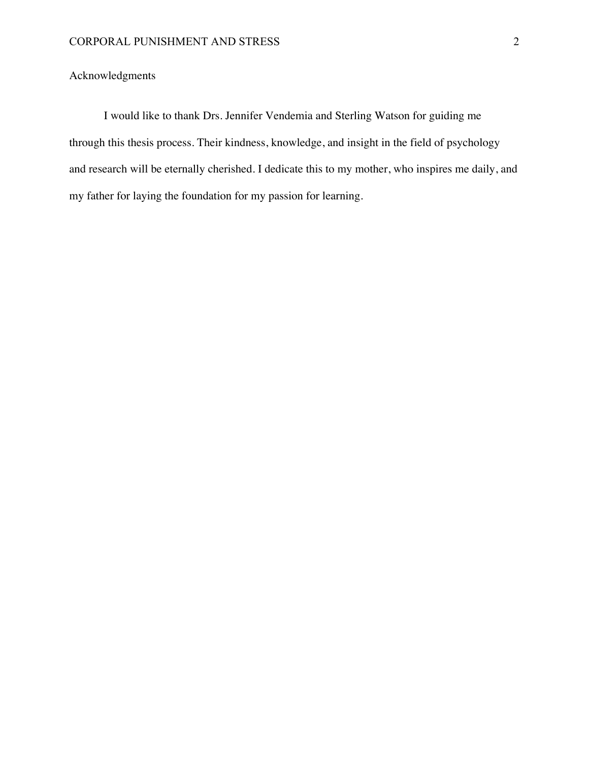# Acknowledgments

I would like to thank Drs. Jennifer Vendemia and Sterling Watson for guiding me through this thesis process. Their kindness, knowledge, and insight in the field of psychology and research will be eternally cherished. I dedicate this to my mother, who inspires me daily, and my father for laying the foundation for my passion for learning.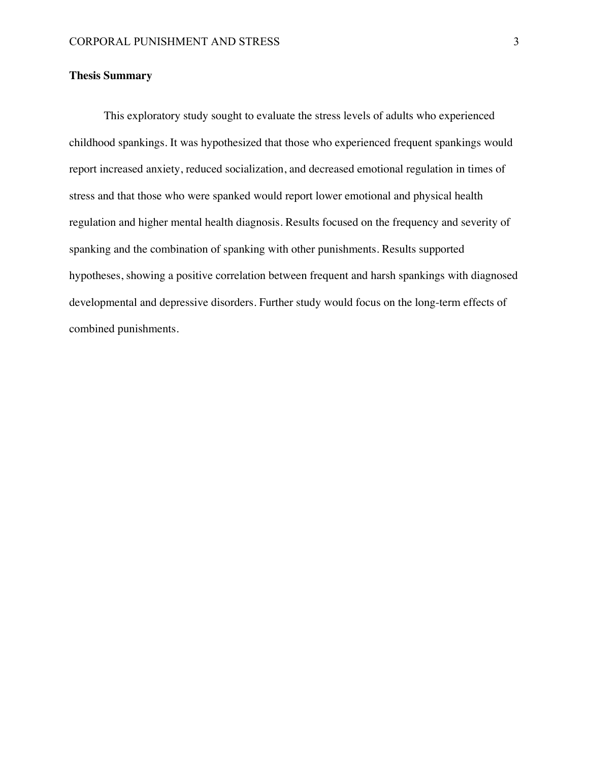### **Thesis Summary**

This exploratory study sought to evaluate the stress levels of adults who experienced childhood spankings. It was hypothesized that those who experienced frequent spankings would report increased anxiety, reduced socialization, and decreased emotional regulation in times of stress and that those who were spanked would report lower emotional and physical health regulation and higher mental health diagnosis. Results focused on the frequency and severity of spanking and the combination of spanking with other punishments. Results supported hypotheses, showing a positive correlation between frequent and harsh spankings with diagnosed developmental and depressive disorders. Further study would focus on the long-term effects of combined punishments.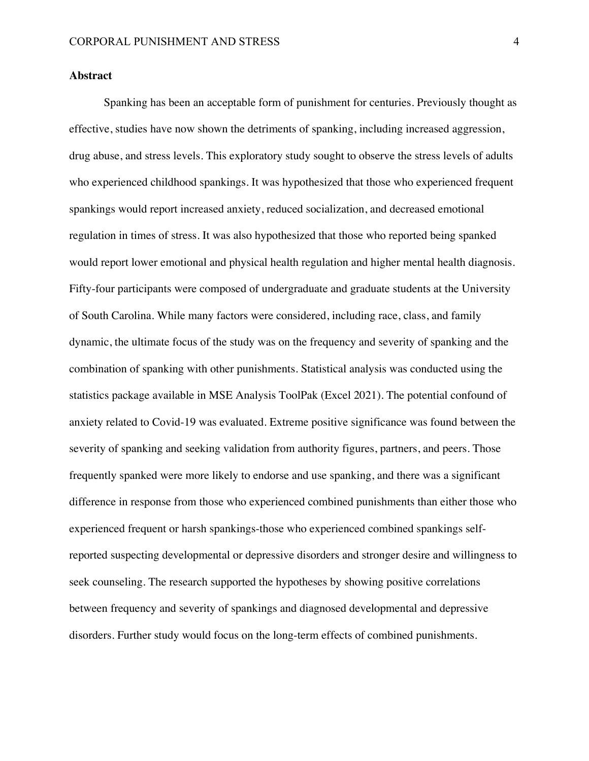### **Abstract**

Spanking has been an acceptable form of punishment for centuries. Previously thought as effective, studies have now shown the detriments of spanking, including increased aggression, drug abuse, and stress levels. This exploratory study sought to observe the stress levels of adults who experienced childhood spankings. It was hypothesized that those who experienced frequent spankings would report increased anxiety, reduced socialization, and decreased emotional regulation in times of stress. It was also hypothesized that those who reported being spanked would report lower emotional and physical health regulation and higher mental health diagnosis. Fifty-four participants were composed of undergraduate and graduate students at the University of South Carolina. While many factors were considered, including race, class, and family dynamic, the ultimate focus of the study was on the frequency and severity of spanking and the combination of spanking with other punishments. Statistical analysis was conducted using the statistics package available in MSE Analysis ToolPak (Excel 2021). The potential confound of anxiety related to Covid-19 was evaluated. Extreme positive significance was found between the severity of spanking and seeking validation from authority figures, partners, and peers. Those frequently spanked were more likely to endorse and use spanking, and there was a significant difference in response from those who experienced combined punishments than either those who experienced frequent or harsh spankings-those who experienced combined spankings selfreported suspecting developmental or depressive disorders and stronger desire and willingness to seek counseling. The research supported the hypotheses by showing positive correlations between frequency and severity of spankings and diagnosed developmental and depressive disorders. Further study would focus on the long-term effects of combined punishments.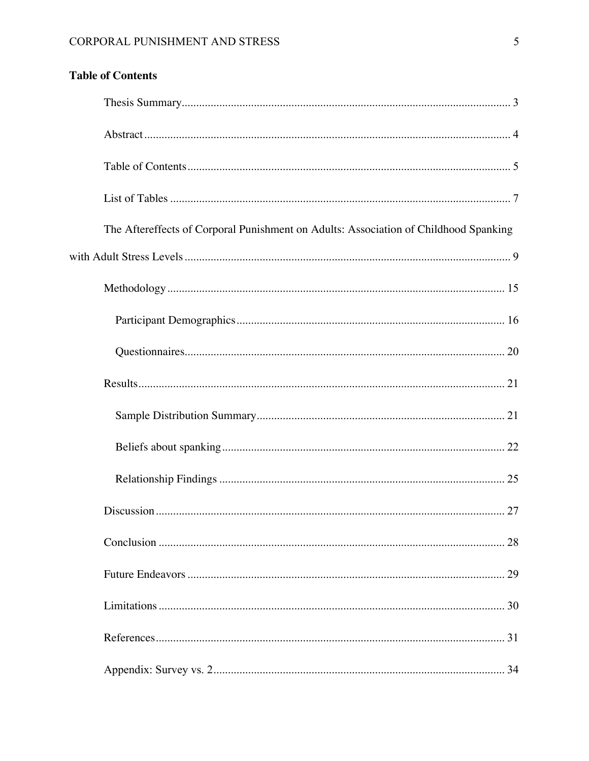| <b>Table of Contents</b>                                                             |  |
|--------------------------------------------------------------------------------------|--|
|                                                                                      |  |
|                                                                                      |  |
|                                                                                      |  |
|                                                                                      |  |
| The Aftereffects of Corporal Punishment on Adults: Association of Childhood Spanking |  |
|                                                                                      |  |
|                                                                                      |  |
|                                                                                      |  |
|                                                                                      |  |
|                                                                                      |  |
|                                                                                      |  |
|                                                                                      |  |
|                                                                                      |  |
|                                                                                      |  |
|                                                                                      |  |
|                                                                                      |  |
|                                                                                      |  |
|                                                                                      |  |
|                                                                                      |  |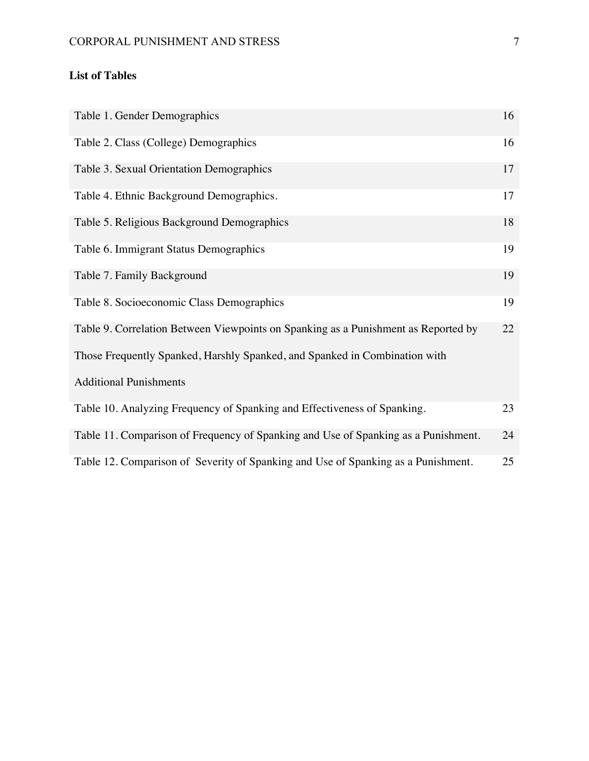# **List of Tables**

| Table 1. Gender Demographics                                                       | 16 |
|------------------------------------------------------------------------------------|----|
| Table 2. Class (College) Demographics                                              | 16 |
| Table 3. Sexual Orientation Demographics                                           | 17 |
| Table 4. Ethnic Background Demographics.                                           | 17 |
| Table 5. Religious Background Demographics                                         | 18 |
| Table 6. Immigrant Status Demographics                                             | 19 |
| Table 7. Family Background                                                         | 19 |
| Table 8. Socioeconomic Class Demographics                                          | 19 |
| Table 9. Correlation Between Viewpoints on Spanking as a Punishment as Reported by | 22 |
| Those Frequently Spanked, Harshly Spanked, and Spanked in Combination with         |    |
| <b>Additional Punishments</b>                                                      |    |
| Table 10. Analyzing Frequency of Spanking and Effectiveness of Spanking.           | 23 |
| Table 11. Comparison of Frequency of Spanking and Use of Spanking as a Punishment. | 24 |
| Table 12. Comparison of Severity of Spanking and Use of Spanking as a Punishment.  | 25 |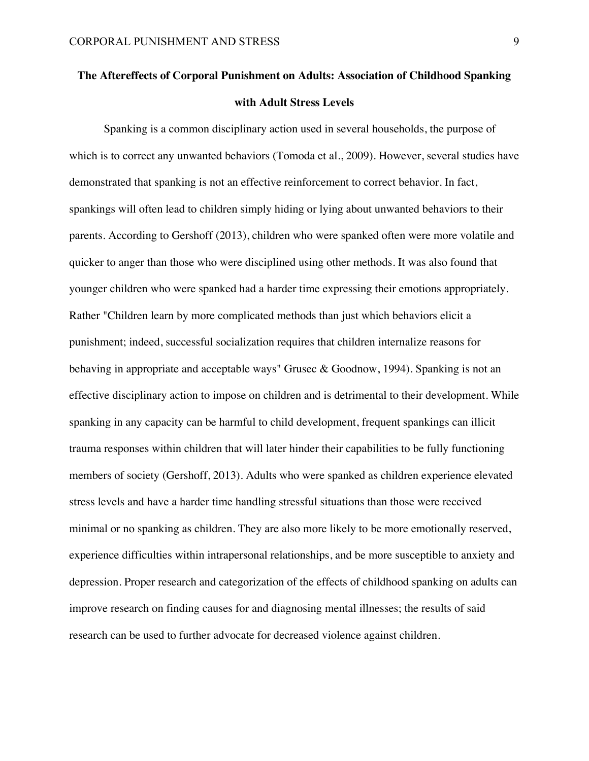# **The Aftereffects of Corporal Punishment on Adults: Association of Childhood Spanking with Adult Stress Levels**

Spanking is a common disciplinary action used in several households, the purpose of which is to correct any unwanted behaviors (Tomoda et al., 2009). However, several studies have demonstrated that spanking is not an effective reinforcement to correct behavior. In fact, spankings will often lead to children simply hiding or lying about unwanted behaviors to their parents. According to Gershoff (2013), children who were spanked often were more volatile and quicker to anger than those who were disciplined using other methods. It was also found that younger children who were spanked had a harder time expressing their emotions appropriately. Rather "Children learn by more complicated methods than just which behaviors elicit a punishment; indeed, successful socialization requires that children internalize reasons for behaving in appropriate and acceptable ways" Grusec & Goodnow, 1994). Spanking is not an effective disciplinary action to impose on children and is detrimental to their development. While spanking in any capacity can be harmful to child development, frequent spankings can illicit trauma responses within children that will later hinder their capabilities to be fully functioning members of society (Gershoff, 2013). Adults who were spanked as children experience elevated stress levels and have a harder time handling stressful situations than those were received minimal or no spanking as children. They are also more likely to be more emotionally reserved, experience difficulties within intrapersonal relationships, and be more susceptible to anxiety and depression. Proper research and categorization of the effects of childhood spanking on adults can improve research on finding causes for and diagnosing mental illnesses; the results of said research can be used to further advocate for decreased violence against children.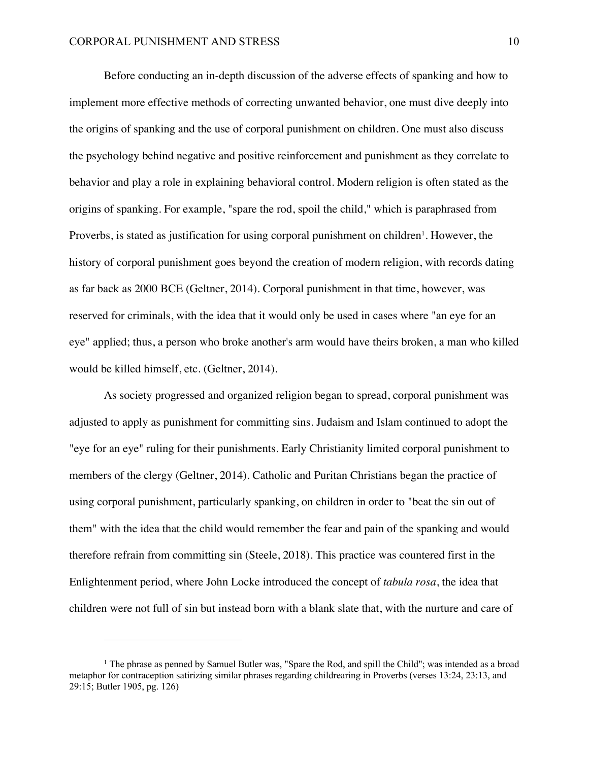Before conducting an in-depth discussion of the adverse effects of spanking and how to implement more effective methods of correcting unwanted behavior, one must dive deeply into the origins of spanking and the use of corporal punishment on children. One must also discuss the psychology behind negative and positive reinforcement and punishment as they correlate to behavior and play a role in explaining behavioral control. Modern religion is often stated as the origins of spanking. For example, "spare the rod, spoil the child," which is paraphrased from Proverbs, is stated as justification for using corporal punishment on children<sup>1</sup>. However, the history of corporal punishment goes beyond the creation of modern religion, with records dating as far back as 2000 BCE (Geltner, 2014). Corporal punishment in that time, however, was reserved for criminals, with the idea that it would only be used in cases where "an eye for an eye" applied; thus, a person who broke another's arm would have theirs broken, a man who killed would be killed himself, etc. (Geltner, 2014).

As society progressed and organized religion began to spread, corporal punishment was adjusted to apply as punishment for committing sins. Judaism and Islam continued to adopt the "eye for an eye" ruling for their punishments. Early Christianity limited corporal punishment to members of the clergy (Geltner, 2014). Catholic and Puritan Christians began the practice of using corporal punishment, particularly spanking, on children in order to "beat the sin out of them" with the idea that the child would remember the fear and pain of the spanking and would therefore refrain from committing sin (Steele, 2018). This practice was countered first in the Enlightenment period, where John Locke introduced the concept of *tabula rosa*, the idea that children were not full of sin but instead born with a blank slate that, with the nurture and care of

<sup>&</sup>lt;sup>1</sup> The phrase as penned by Samuel Butler was, "Spare the Rod, and spill the Child"; was intended as a broad metaphor for contraception satirizing similar phrases regarding childrearing in Proverbs (verses 13:24, 23:13, and 29:15; Butler 1905, pg. 126)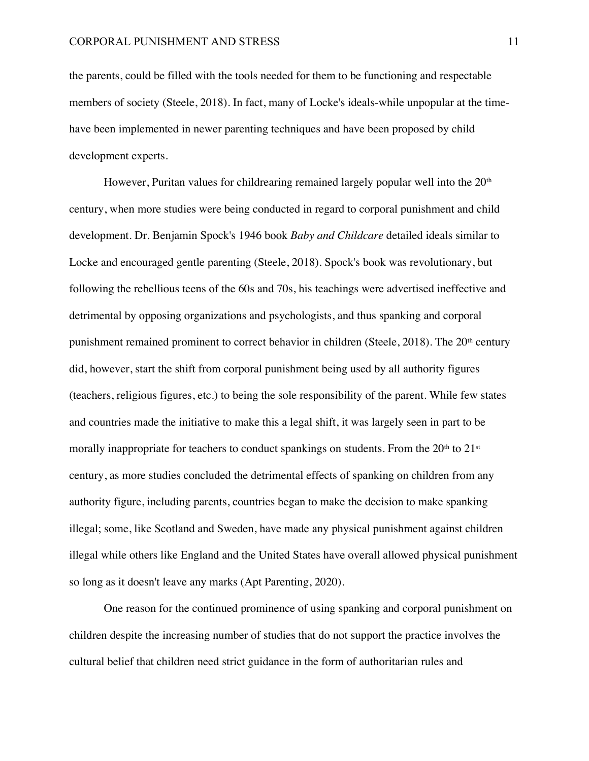the parents, could be filled with the tools needed for them to be functioning and respectable members of society (Steele, 2018). In fact, many of Locke's ideals-while unpopular at the timehave been implemented in newer parenting techniques and have been proposed by child development experts.

However, Puritan values for childrearing remained largely popular well into the  $20<sup>th</sup>$ century, when more studies were being conducted in regard to corporal punishment and child development. Dr. Benjamin Spock's 1946 book *Baby and Childcare* detailed ideals similar to Locke and encouraged gentle parenting (Steele, 2018). Spock's book was revolutionary, but following the rebellious teens of the 60s and 70s, his teachings were advertised ineffective and detrimental by opposing organizations and psychologists, and thus spanking and corporal punishment remained prominent to correct behavior in children (Steele, 2018). The 20th century did, however, start the shift from corporal punishment being used by all authority figures (teachers, religious figures, etc.) to being the sole responsibility of the parent. While few states and countries made the initiative to make this a legal shift, it was largely seen in part to be morally inappropriate for teachers to conduct spankings on students. From the  $20<sup>th</sup>$  to  $21<sup>st</sup>$ century, as more studies concluded the detrimental effects of spanking on children from any authority figure, including parents, countries began to make the decision to make spanking illegal; some, like Scotland and Sweden, have made any physical punishment against children illegal while others like England and the United States have overall allowed physical punishment so long as it doesn't leave any marks (Apt Parenting, 2020).

One reason for the continued prominence of using spanking and corporal punishment on children despite the increasing number of studies that do not support the practice involves the cultural belief that children need strict guidance in the form of authoritarian rules and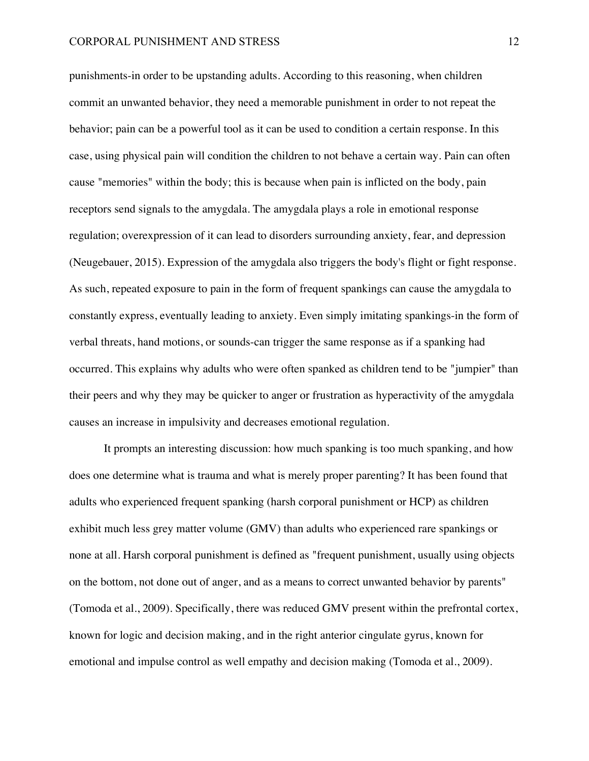punishments-in order to be upstanding adults. According to this reasoning, when children commit an unwanted behavior, they need a memorable punishment in order to not repeat the behavior; pain can be a powerful tool as it can be used to condition a certain response. In this case, using physical pain will condition the children to not behave a certain way. Pain can often cause "memories" within the body; this is because when pain is inflicted on the body, pain receptors send signals to the amygdala. The amygdala plays a role in emotional response regulation; overexpression of it can lead to disorders surrounding anxiety, fear, and depression (Neugebauer, 2015). Expression of the amygdala also triggers the body's flight or fight response. As such, repeated exposure to pain in the form of frequent spankings can cause the amygdala to constantly express, eventually leading to anxiety. Even simply imitating spankings-in the form of verbal threats, hand motions, or sounds-can trigger the same response as if a spanking had occurred. This explains why adults who were often spanked as children tend to be "jumpier" than their peers and why they may be quicker to anger or frustration as hyperactivity of the amygdala causes an increase in impulsivity and decreases emotional regulation.

It prompts an interesting discussion: how much spanking is too much spanking, and how does one determine what is trauma and what is merely proper parenting? It has been found that adults who experienced frequent spanking (harsh corporal punishment or HCP) as children exhibit much less grey matter volume (GMV) than adults who experienced rare spankings or none at all. Harsh corporal punishment is defined as "frequent punishment, usually using objects on the bottom, not done out of anger, and as a means to correct unwanted behavior by parents" (Tomoda et al., 2009). Specifically, there was reduced GMV present within the prefrontal cortex, known for logic and decision making, and in the right anterior cingulate gyrus, known for emotional and impulse control as well empathy and decision making (Tomoda et al., 2009).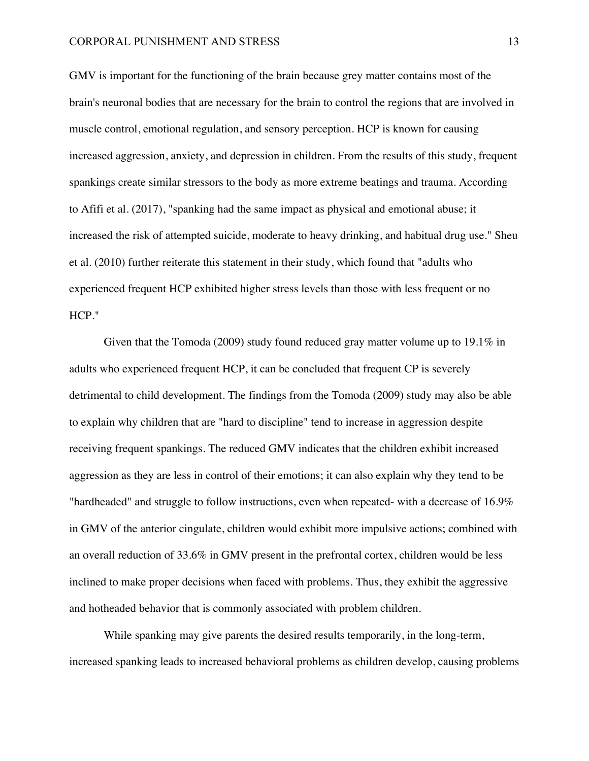GMV is important for the functioning of the brain because grey matter contains most of the brain's neuronal bodies that are necessary for the brain to control the regions that are involved in muscle control, emotional regulation, and sensory perception. HCP is known for causing increased aggression, anxiety, and depression in children. From the results of this study, frequent spankings create similar stressors to the body as more extreme beatings and trauma. According to Afifi et al. (2017), "spanking had the same impact as physical and emotional abuse; it increased the risk of attempted suicide, moderate to heavy drinking, and habitual drug use." Sheu et al. (2010) further reiterate this statement in their study, which found that "adults who experienced frequent HCP exhibited higher stress levels than those with less frequent or no HCP."

Given that the Tomoda (2009) study found reduced gray matter volume up to 19.1% in adults who experienced frequent HCP, it can be concluded that frequent CP is severely detrimental to child development. The findings from the Tomoda (2009) study may also be able to explain why children that are "hard to discipline" tend to increase in aggression despite receiving frequent spankings. The reduced GMV indicates that the children exhibit increased aggression as they are less in control of their emotions; it can also explain why they tend to be "hardheaded" and struggle to follow instructions, even when repeated- with a decrease of 16.9% in GMV of the anterior cingulate, children would exhibit more impulsive actions; combined with an overall reduction of 33.6% in GMV present in the prefrontal cortex, children would be less inclined to make proper decisions when faced with problems. Thus, they exhibit the aggressive and hotheaded behavior that is commonly associated with problem children.

While spanking may give parents the desired results temporarily, in the long-term, increased spanking leads to increased behavioral problems as children develop, causing problems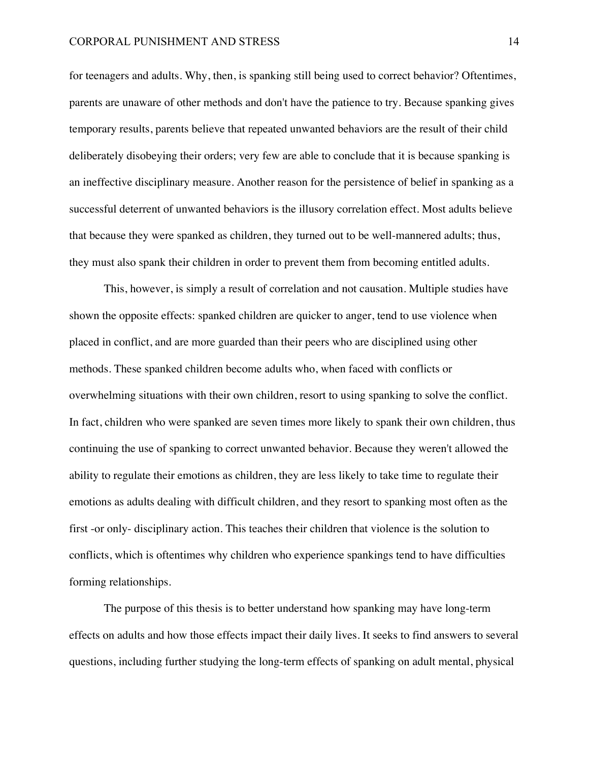for teenagers and adults. Why, then, is spanking still being used to correct behavior? Oftentimes, parents are unaware of other methods and don't have the patience to try. Because spanking gives temporary results, parents believe that repeated unwanted behaviors are the result of their child deliberately disobeying their orders; very few are able to conclude that it is because spanking is an ineffective disciplinary measure. Another reason for the persistence of belief in spanking as a successful deterrent of unwanted behaviors is the illusory correlation effect. Most adults believe that because they were spanked as children, they turned out to be well-mannered adults; thus, they must also spank their children in order to prevent them from becoming entitled adults.

This, however, is simply a result of correlation and not causation. Multiple studies have shown the opposite effects: spanked children are quicker to anger, tend to use violence when placed in conflict, and are more guarded than their peers who are disciplined using other methods. These spanked children become adults who, when faced with conflicts or overwhelming situations with their own children, resort to using spanking to solve the conflict. In fact, children who were spanked are seven times more likely to spank their own children, thus continuing the use of spanking to correct unwanted behavior. Because they weren't allowed the ability to regulate their emotions as children, they are less likely to take time to regulate their emotions as adults dealing with difficult children, and they resort to spanking most often as the first -or only- disciplinary action. This teaches their children that violence is the solution to conflicts, which is oftentimes why children who experience spankings tend to have difficulties forming relationships.

The purpose of this thesis is to better understand how spanking may have long-term effects on adults and how those effects impact their daily lives. It seeks to find answers to several questions, including further studying the long-term effects of spanking on adult mental, physical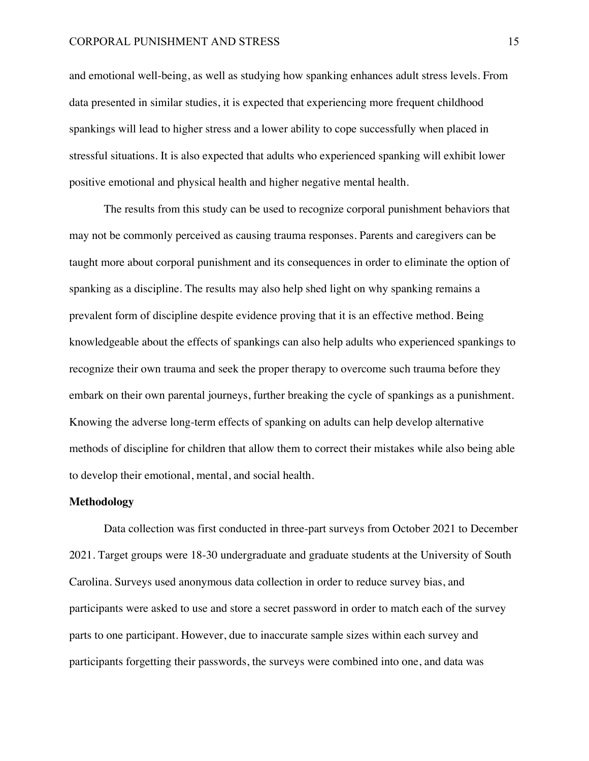### CORPORAL PUNISHMENT AND STRESS 15

and emotional well-being, as well as studying how spanking enhances adult stress levels. From data presented in similar studies, it is expected that experiencing more frequent childhood spankings will lead to higher stress and a lower ability to cope successfully when placed in stressful situations. It is also expected that adults who experienced spanking will exhibit lower positive emotional and physical health and higher negative mental health.

The results from this study can be used to recognize corporal punishment behaviors that may not be commonly perceived as causing trauma responses. Parents and caregivers can be taught more about corporal punishment and its consequences in order to eliminate the option of spanking as a discipline. The results may also help shed light on why spanking remains a prevalent form of discipline despite evidence proving that it is an effective method. Being knowledgeable about the effects of spankings can also help adults who experienced spankings to recognize their own trauma and seek the proper therapy to overcome such trauma before they embark on their own parental journeys, further breaking the cycle of spankings as a punishment. Knowing the adverse long-term effects of spanking on adults can help develop alternative methods of discipline for children that allow them to correct their mistakes while also being able to develop their emotional, mental, and social health.

### **Methodology**

Data collection was first conducted in three-part surveys from October 2021 to December 2021. Target groups were 18-30 undergraduate and graduate students at the University of South Carolina. Surveys used anonymous data collection in order to reduce survey bias, and participants were asked to use and store a secret password in order to match each of the survey parts to one participant. However, due to inaccurate sample sizes within each survey and participants forgetting their passwords, the surveys were combined into one, and data was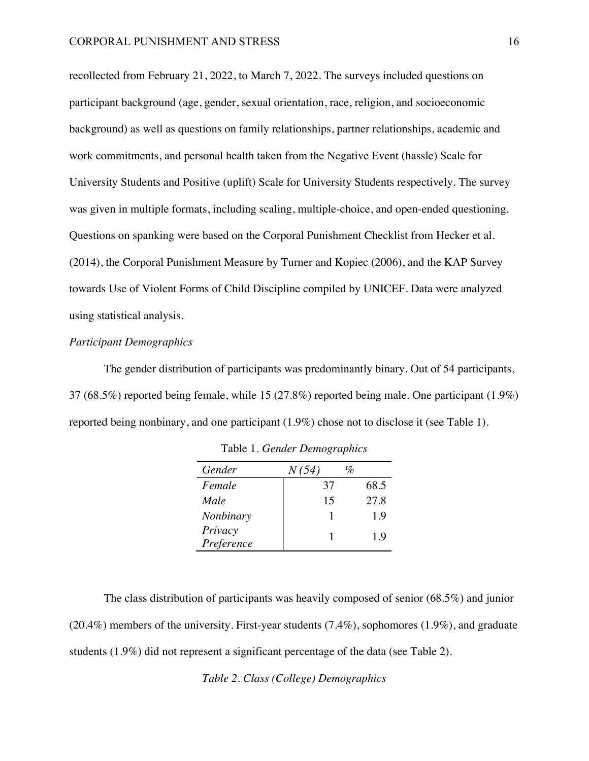recollected from February 21, 2022, to March 7, 2022. The surveys included questions on participant background (age, gender, sexual orientation, race, religion, and socioeconomic background) as well as questions on family relationships, partner relationships, academic and work commitments, and personal health taken from the Negative Event (hassle) Scale for University Students and Positive (uplift) Scale for University Students respectively. The survey was given in multiple formats, including scaling, multiple-choice, and open-ended questioning. Questions on spanking were based on the Corporal Punishment Checklist from Hecker et al. (2014), the Corporal Punishment Measure by Turner and Kopiec (2006), and the KAP Survey towards Use of Violent Forms of Child Discipline compiled by UNICEF. Data were analyzed using statistical analysis.

### *Participant Demographics*

The gender distribution of participants was predominantly binary. Out of 54 participants, 37 (68.5%) reported being female, while 15 (27.8%) reported being male. One participant (1.9%) reported being nonbinary, and one participant (1.9%) chose not to disclose it (see Table 1).

| Gender                | N(54) | $\%$ |
|-----------------------|-------|------|
| Female                | 37    | 68.5 |
| Male                  | 15    | 27.8 |
| Nonbinary             |       | 1.9  |
| Privacy<br>Preference |       | 19   |

Table 1. *Gender Demographics*

The class distribution of participants was heavily composed of senior (68.5%) and junior  $(20.4\%)$  members of the university. First-year students  $(7.4\%)$ , sophomores  $(1.9\%)$ , and graduate students (1.9%) did not represent a significant percentage of the data (see Table 2).

### *Table 2. Class (College) Demographics*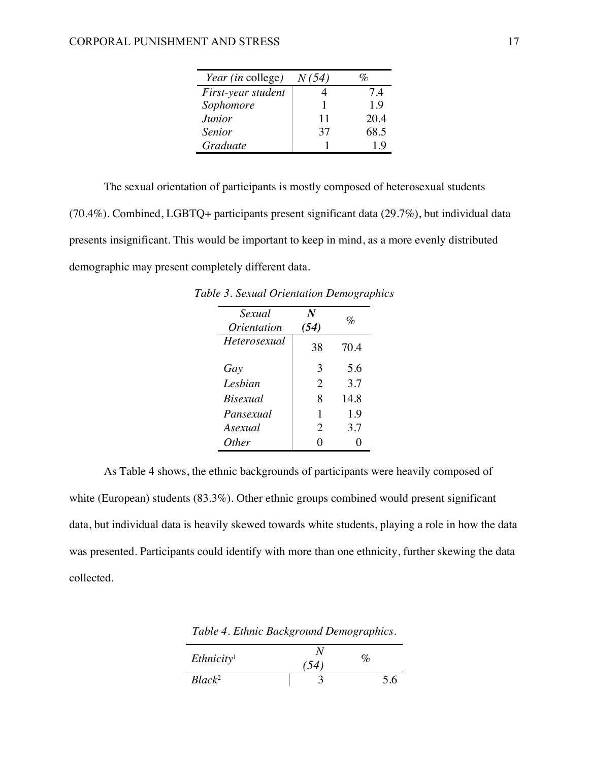| <i>Year (in college)</i> | N(54) |      |
|--------------------------|-------|------|
| First-year student       |       | 7.4  |
| Sophomore                |       | 19   |
| <b>Junior</b>            | 11    | 20.4 |
| <b>Senior</b>            | 37    | 68.5 |
| Graduate                 |       | 1 Q  |

The sexual orientation of participants is mostly composed of heterosexual students (70.4%). Combined, LGBTQ+ participants present significant data (29.7%), but individual data presents insignificant. This would be important to keep in mind, as a more evenly distributed demographic may present completely different data.

| Sexual<br>Orientation  | N<br>(54)      | %    |
|------------------------|----------------|------|
| Heterosexual           | 38             | 70.4 |
| Gay                    | 3              | 5.6  |
| Leshian                | $\overline{2}$ | 3.7  |
| <i><b>Risexual</b></i> | 8              | 14.8 |
| Pansexual              | 1              | 1.9  |
| Asexual                | $\mathfrak{D}$ | 3.7  |
| Other                  | 0              |      |

*Table 3. Sexual Orientation Demographics*

As Table 4 shows, the ethnic backgrounds of participants were heavily composed of white (European) students (83.3%). Other ethnic groups combined would present significant data, but individual data is heavily skewed towards white students, playing a role in how the data was presented. Participants could identify with more than one ethnicity, further skewing the data collected.

| Table 4. Ethnic Background Demographics. |           |                 |
|------------------------------------------|-----------|-----------------|
| Ethnicity <sup>1</sup>                   | Ν<br>(54) | $\mathcal{O}_0$ |
| Black <sup>2</sup>                       |           | 5.6             |

*Table 4. Ethnic Background Demographics.*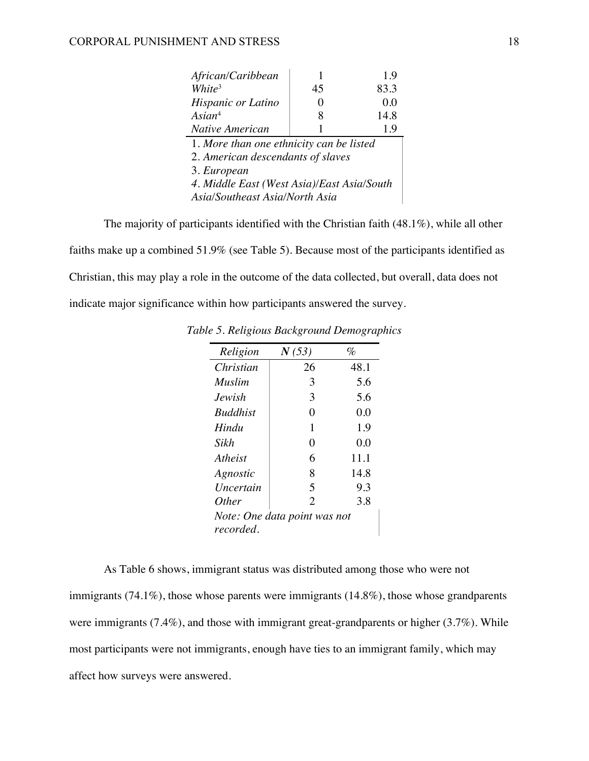| African/Caribbean                          |    | 19   |
|--------------------------------------------|----|------|
| White <sup>3</sup>                         | 45 | 83.3 |
| Hispanic or Latino                         |    | 0.0  |
| $A$ sian <sup>4</sup>                      | 8  | 14.8 |
| <i>Native American</i>                     |    | 1.9  |
| 1. More than one ethnicity can be listed   |    |      |
| 2. American descendants of slaves          |    |      |
| 3. European                                |    |      |
| 4. Middle East (West Asia)/East Asia/South |    |      |
| Asia/Southeast Asia/North Asia             |    |      |
|                                            |    |      |

The majority of participants identified with the Christian faith (48.1%), while all other faiths make up a combined 51.9% (see Table 5). Because most of the participants identified as Christian, this may play a role in the outcome of the data collected, but overall, data does not indicate major significance within how participants answered the survey.

| Religion                     | N(53) | %    |
|------------------------------|-------|------|
| Christian                    | 26    | 48.1 |
| <i>Muslim</i>                | 3     | 5.6  |
| Jewish                       | 3     | 5.6  |
| <i><b>Buddhist</b></i>       | 0     | 0.0  |
| Hindu                        | 1     | 1.9  |
| Sikh                         | 0     | 0.0  |
| Atheist                      | 6     | 11.1 |
| Agnostic                     | 8     | 14.8 |
| <i>Uncertain</i>             | 5     | 93   |
| <i>Other</i>                 | 2     | 3.8  |
| Note: One data point was not |       |      |
| recorded.                    |       |      |

*Table 5. Religious Background Demographics*

As Table 6 shows, immigrant status was distributed among those who were not immigrants (74.1%), those whose parents were immigrants (14.8%), those whose grandparents were immigrants (7.4%), and those with immigrant great-grandparents or higher (3.7%). While most participants were not immigrants, enough have ties to an immigrant family, which may affect how surveys were answered.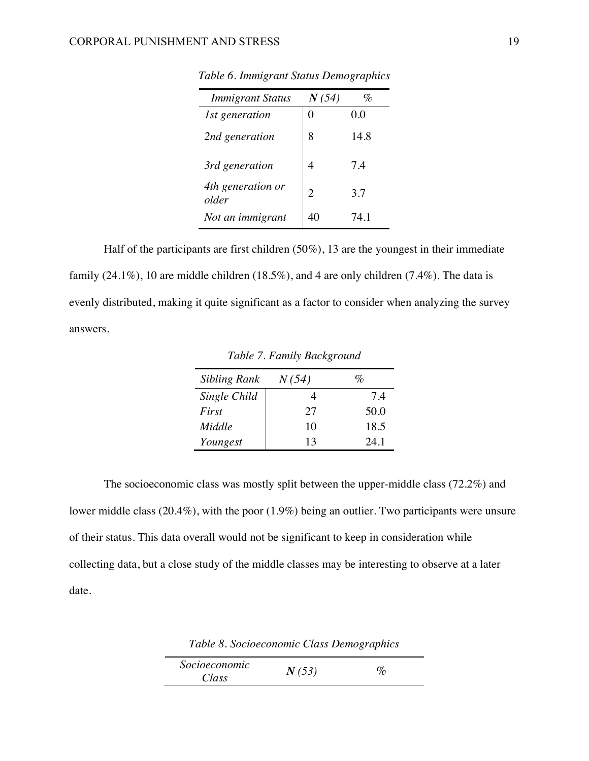| <b>Immigrant Status</b>    | N(54)          | %    |
|----------------------------|----------------|------|
| 1st generation             |                | 0.0  |
| 2nd generation             | 8              | 14.8 |
| 3rd generation             | 4              | 7.4  |
| 4th generation or<br>older | $\overline{2}$ | 3.7  |
| Not an immigrant           | 40             | 74.1 |

*Table 6. Immigrant Status Demographics*

Half of the participants are first children (50%), 13 are the youngest in their immediate family (24.1%), 10 are middle children (18.5%), and 4 are only children (7.4%). The data is evenly distributed, making it quite significant as a factor to consider when analyzing the survey answers.

| <b>Sibling Rank</b> | N(54) |      |
|---------------------|-------|------|
| Single Child        |       | 7.4  |
| First               | 27    | 50.0 |
| Middle              | 10    | 18.5 |
| Youngest            | 13    | 24.1 |

*Table 7. Family Background*

The socioeconomic class was mostly split between the upper-middle class (72.2%) and lower middle class (20.4%), with the poor (1.9%) being an outlier. Two participants were unsure of their status. This data overall would not be significant to keep in consideration while collecting data, but a close study of the middle classes may be interesting to observe at a later date.

*Table 8. Socioeconomic Class Demographics*

| Socioeconomic<br>Aass |  |
|-----------------------|--|
|                       |  |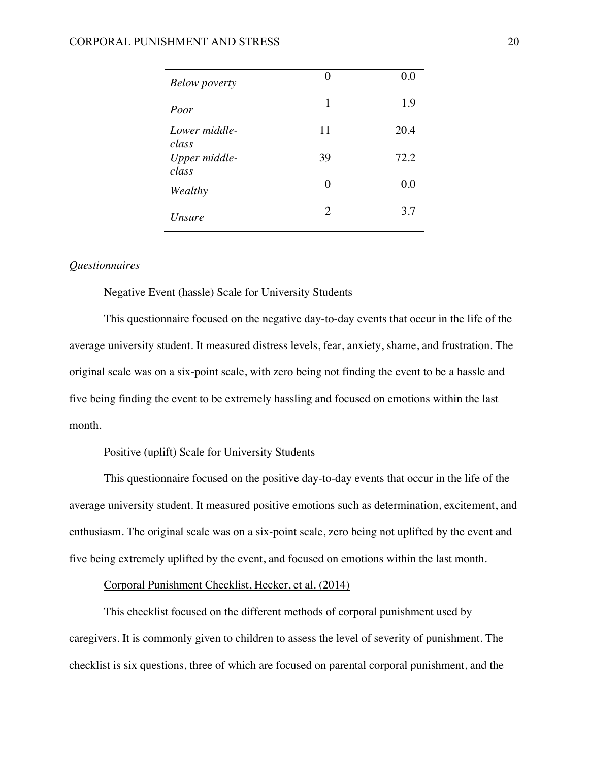| <b>Below</b> poverty   |                       | 0.0  |
|------------------------|-----------------------|------|
| Poor                   | 1                     | 1.9  |
| Lower middle-<br>class | 11                    | 20.4 |
| Upper middle-<br>class | 39                    | 72.2 |
| Wealthy                | 0                     | 0.0  |
| <i>Unsure</i>          | $\mathcal{D}_{\cdot}$ | 3.7  |

### *Questionnaires*

### Negative Event (hassle) Scale for University Students

This questionnaire focused on the negative day-to-day events that occur in the life of the average university student. It measured distress levels, fear, anxiety, shame, and frustration. The original scale was on a six-point scale, with zero being not finding the event to be a hassle and five being finding the event to be extremely hassling and focused on emotions within the last month.

### Positive (uplift) Scale for University Students

This questionnaire focused on the positive day-to-day events that occur in the life of the average university student. It measured positive emotions such as determination, excitement, and enthusiasm. The original scale was on a six-point scale, zero being not uplifted by the event and five being extremely uplifted by the event, and focused on emotions within the last month.

### Corporal Punishment Checklist, Hecker, et al. (2014)

This checklist focused on the different methods of corporal punishment used by caregivers. It is commonly given to children to assess the level of severity of punishment. The checklist is six questions, three of which are focused on parental corporal punishment, and the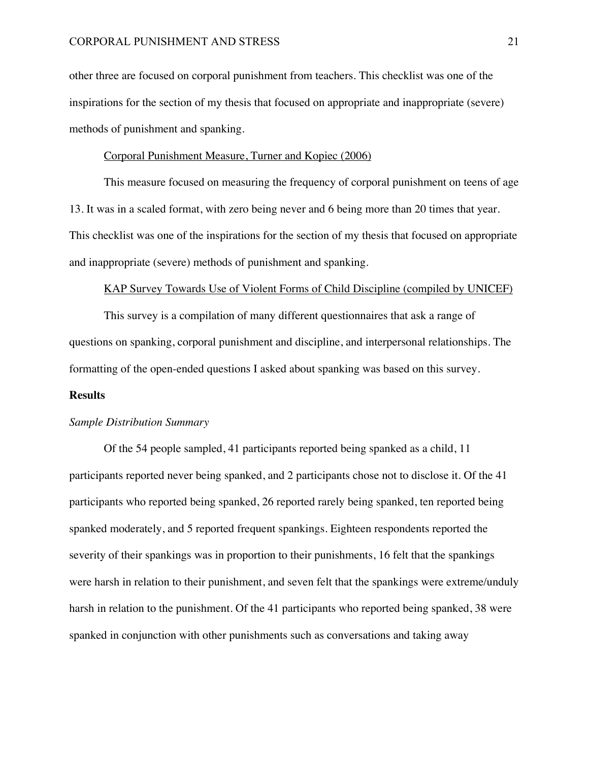other three are focused on corporal punishment from teachers. This checklist was one of the inspirations for the section of my thesis that focused on appropriate and inappropriate (severe) methods of punishment and spanking.

### Corporal Punishment Measure, Turner and Kopiec (2006)

This measure focused on measuring the frequency of corporal punishment on teens of age 13. It was in a scaled format, with zero being never and 6 being more than 20 times that year. This checklist was one of the inspirations for the section of my thesis that focused on appropriate and inappropriate (severe) methods of punishment and spanking.

#### KAP Survey Towards Use of Violent Forms of Child Discipline (compiled by UNICEF)

This survey is a compilation of many different questionnaires that ask a range of questions on spanking, corporal punishment and discipline, and interpersonal relationships. The formatting of the open-ended questions I asked about spanking was based on this survey.

### **Results**

### *Sample Distribution Summary*

Of the 54 people sampled, 41 participants reported being spanked as a child, 11 participants reported never being spanked, and 2 participants chose not to disclose it. Of the 41 participants who reported being spanked, 26 reported rarely being spanked, ten reported being spanked moderately, and 5 reported frequent spankings. Eighteen respondents reported the severity of their spankings was in proportion to their punishments, 16 felt that the spankings were harsh in relation to their punishment, and seven felt that the spankings were extreme/unduly harsh in relation to the punishment. Of the 41 participants who reported being spanked, 38 were spanked in conjunction with other punishments such as conversations and taking away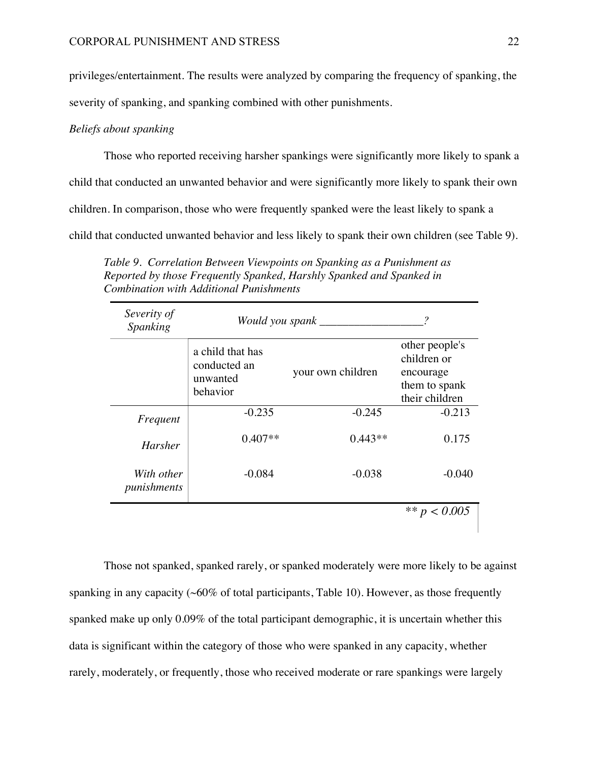privileges/entertainment. The results were analyzed by comparing the frequency of spanking, the

severity of spanking, and spanking combined with other punishments.

### *Beliefs about spanking*

Those who reported receiving harsher spankings were significantly more likely to spank a

child that conducted an unwanted behavior and were significantly more likely to spank their own

children. In comparison, those who were frequently spanked were the least likely to spank a

child that conducted unwanted behavior and less likely to spank their own children (see Table 9).

| Severity of<br>Spanking   |                                                          |                   |                                                                               |
|---------------------------|----------------------------------------------------------|-------------------|-------------------------------------------------------------------------------|
|                           | a child that has<br>conducted an<br>unwanted<br>behavior | your own children | other people's<br>children or<br>encourage<br>them to spank<br>their children |
| Frequent                  | $-0.235$                                                 | $-0.245$          | $-0.213$                                                                      |
| Harsher                   | $0.407**$                                                | $0.443**$         | 0.175                                                                         |
| With other<br>punishments | $-0.084$                                                 | $-0.038$          | $-0.040$                                                                      |
|                           |                                                          |                   |                                                                               |

*Table 9. Correlation Between Viewpoints on Spanking as a Punishment as Reported by those Frequently Spanked, Harshly Spanked and Spanked in Combination with Additional Punishments*

Those not spanked, spanked rarely, or spanked moderately were more likely to be against spanking in any capacity  $\sim 60\%$  of total participants, Table 10). However, as those frequently spanked make up only 0.09% of the total participant demographic, it is uncertain whether this data is significant within the category of those who were spanked in any capacity, whether rarely, moderately, or frequently, those who received moderate or rare spankings were largely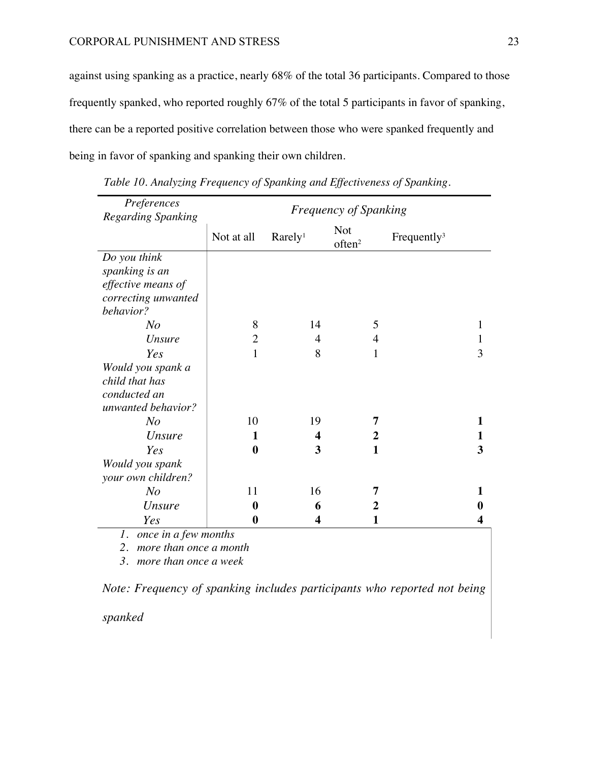against using spanking as a practice, nearly 68% of the total 36 participants. Compared to those frequently spanked, who reported roughly 67% of the total 5 participants in favor of spanking, there can be a reported positive correlation between those who were spanked frequently and being in favor of spanking and spanking their own children.

| Preferences<br><b>Regarding Spanking</b> | <b>Frequency of Spanking</b> |                     |                                  |                         |
|------------------------------------------|------------------------------|---------------------|----------------------------------|-------------------------|
|                                          | Not at all                   | Rarely <sup>1</sup> | <b>Not</b><br>often <sup>2</sup> | Frequently <sup>3</sup> |
| Do you think                             |                              |                     |                                  |                         |
| spanking is an                           |                              |                     |                                  |                         |
| effective means of                       |                              |                     |                                  |                         |
| correcting unwanted                      |                              |                     |                                  |                         |
| behavior?                                |                              |                     |                                  |                         |
| N <sub>O</sub>                           | 8                            | 14                  | 5                                |                         |
| <b>Unsure</b>                            | $\overline{2}$               | 4                   | $\overline{4}$                   | 1                       |
| Yes                                      | 1                            | 8                   | 1                                | 3                       |
| Would you spank a                        |                              |                     |                                  |                         |
| child that has                           |                              |                     |                                  |                         |
| conducted an                             |                              |                     |                                  |                         |
| unwanted behavior?                       |                              |                     |                                  |                         |
| N o                                      | 10                           | 19                  | 7                                | 1                       |
| <b>Unsure</b>                            | 1                            | 4                   | $\overline{2}$                   | 1                       |
| Yes                                      | $\bf{0}$                     | 3                   | 1                                | 3                       |
| Would you spank                          |                              |                     |                                  |                         |
| your own children?                       |                              |                     |                                  |                         |
| No                                       | 11                           | 16                  | 7                                | 1                       |
| <b>Unsure</b>                            | 0                            | 6                   | 2                                | 0                       |
| Yes                                      | 0                            | 4                   | 1                                | 4                       |

*Table 10. Analyzing Frequency of Spanking and Effectiveness of Spanking.*

*1. once in a few months*

*2. more than once a month*

*3. more than once a week*

*Note: Frequency of spanking includes participants who reported not being spanked*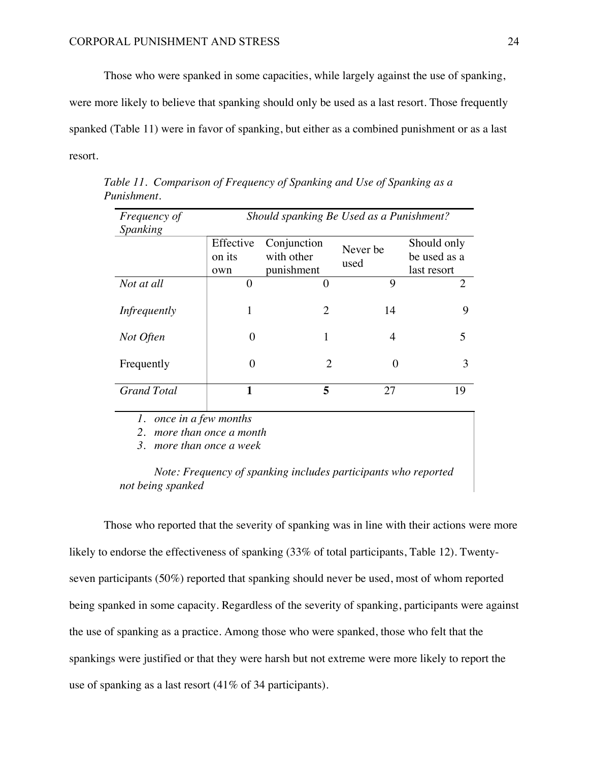Those who were spanked in some capacities, while largely against the use of spanking, were more likely to believe that spanking should only be used as a last resort. Those frequently spanked (Table 11) were in favor of spanking, but either as a combined punishment or as a last resort.

| <i>Frequency of</i> | Should spanking Be Used as a Punishment? |                           |                  |                             |
|---------------------|------------------------------------------|---------------------------|------------------|-----------------------------|
| <b>Spanking</b>     |                                          |                           |                  |                             |
|                     | Effective<br>on its                      | Conjunction<br>with other | Never be<br>used | Should only<br>be used as a |
|                     | own                                      | punishment                |                  | last resort                 |
| Not at all          | 0                                        | $\mathcal{O}$             | 9                | $\mathcal{D}_{\mathcal{L}}$ |
| Infrequently        | 1                                        | 2                         | 14               | 9                           |
| Not Often           | $\theta$                                 |                           | 4                | 5                           |
| Frequently          | $\Omega$                                 | 2                         | 0                | 3                           |
| <b>Grand Total</b>  | 1                                        | 5                         | 27               | 19                          |

*Table 11. Comparison of Frequency of Spanking and Use of Spanking as a Punishment.* 

*1. once in a few months*

*2. more than once a month*

*3. more than once a week*

*Note: Frequency of spanking includes participants who reported not being spanked*

Those who reported that the severity of spanking was in line with their actions were more likely to endorse the effectiveness of spanking (33% of total participants, Table 12). Twentyseven participants (50%) reported that spanking should never be used, most of whom reported being spanked in some capacity. Regardless of the severity of spanking, participants were against the use of spanking as a practice. Among those who were spanked, those who felt that the spankings were justified or that they were harsh but not extreme were more likely to report the use of spanking as a last resort (41% of 34 participants).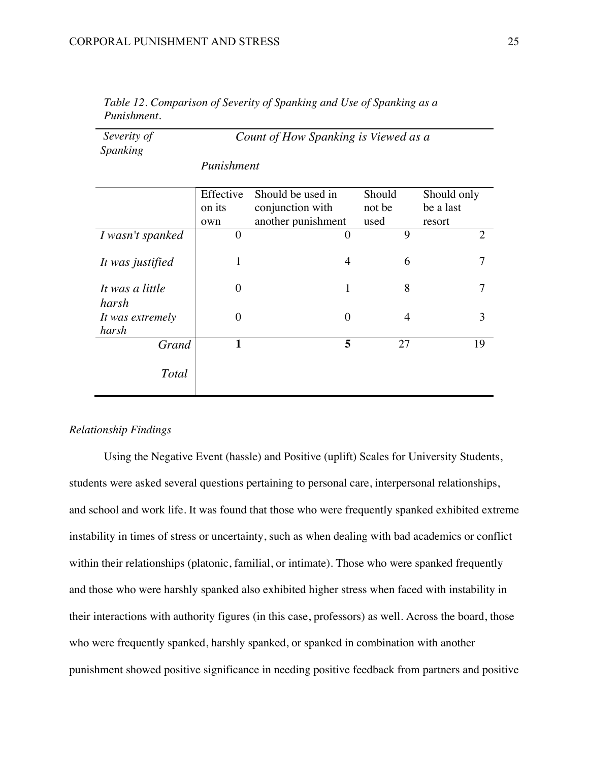| Severity of<br><b>Spanking</b> | Count of How Spanking is Viewed as a |                                                             |                          |                                    |
|--------------------------------|--------------------------------------|-------------------------------------------------------------|--------------------------|------------------------------------|
|                                | Punishment                           |                                                             |                          |                                    |
|                                | Effective<br>on its<br>own           | Should be used in<br>conjunction with<br>another punishment | Should<br>not be<br>used | Should only<br>be a last<br>resort |
| I wasn't spanked               | $\theta$                             | 0                                                           | 9                        | $\overline{2}$                     |
| It was justified               | 1                                    | 4                                                           | 6                        |                                    |
| It was a little<br>harsh       | $\Omega$                             | 1                                                           | 8                        | 7                                  |
| It was extremely<br>harsh      | $\Omega$                             | $\theta$                                                    | $\overline{4}$           | 3                                  |
| Grand                          | $\mathbf{1}$                         | 5                                                           | 27                       | 19                                 |
| Total                          |                                      |                                                             |                          |                                    |

*Table 12. Comparison of Severity of Spanking and Use of Spanking as a Punishment.*

## *Relationship Findings*

Using the Negative Event (hassle) and Positive (uplift) Scales for University Students, students were asked several questions pertaining to personal care, interpersonal relationships, and school and work life. It was found that those who were frequently spanked exhibited extreme instability in times of stress or uncertainty, such as when dealing with bad academics or conflict within their relationships (platonic, familial, or intimate). Those who were spanked frequently and those who were harshly spanked also exhibited higher stress when faced with instability in their interactions with authority figures (in this case, professors) as well. Across the board, those who were frequently spanked, harshly spanked, or spanked in combination with another punishment showed positive significance in needing positive feedback from partners and positive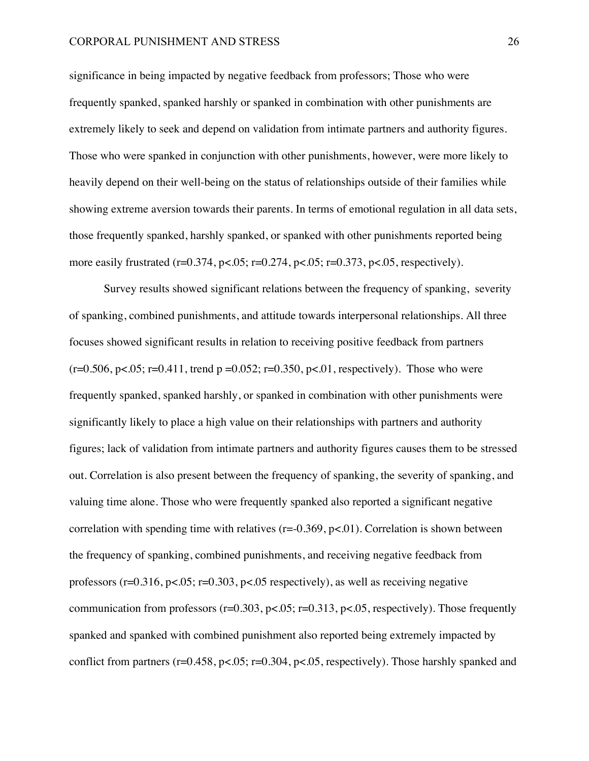significance in being impacted by negative feedback from professors; Those who were frequently spanked, spanked harshly or spanked in combination with other punishments are extremely likely to seek and depend on validation from intimate partners and authority figures. Those who were spanked in conjunction with other punishments, however, were more likely to heavily depend on their well-being on the status of relationships outside of their families while showing extreme aversion towards their parents. In terms of emotional regulation in all data sets, those frequently spanked, harshly spanked, or spanked with other punishments reported being more easily frustrated (r=0.374, p<.05; r=0.274, p<.05; r=0.373, p<.05, respectively).

Survey results showed significant relations between the frequency of spanking, severity of spanking, combined punishments, and attitude towards interpersonal relationships. All three focuses showed significant results in relation to receiving positive feedback from partners  $(r=0.506, p<.05; r=0.411, trend p=0.052; r=0.350, p<.01, respectively).$  Those who were frequently spanked, spanked harshly, or spanked in combination with other punishments were significantly likely to place a high value on their relationships with partners and authority figures; lack of validation from intimate partners and authority figures causes them to be stressed out. Correlation is also present between the frequency of spanking, the severity of spanking, and valuing time alone. Those who were frequently spanked also reported a significant negative correlation with spending time with relatives  $(r=0.369, p<.01)$ . Correlation is shown between the frequency of spanking, combined punishments, and receiving negative feedback from professors ( $r=0.316$ ,  $p<.05$ ;  $r=0.303$ ,  $p<.05$  respectively), as well as receiving negative communication from professors ( $r=0.303$ ,  $p<.05$ ;  $r=0.313$ ,  $p<.05$ , respectively). Those frequently spanked and spanked with combined punishment also reported being extremely impacted by conflict from partners ( $r=0.458$ ,  $p<.05$ ;  $r=0.304$ ,  $p<.05$ , respectively). Those harshly spanked and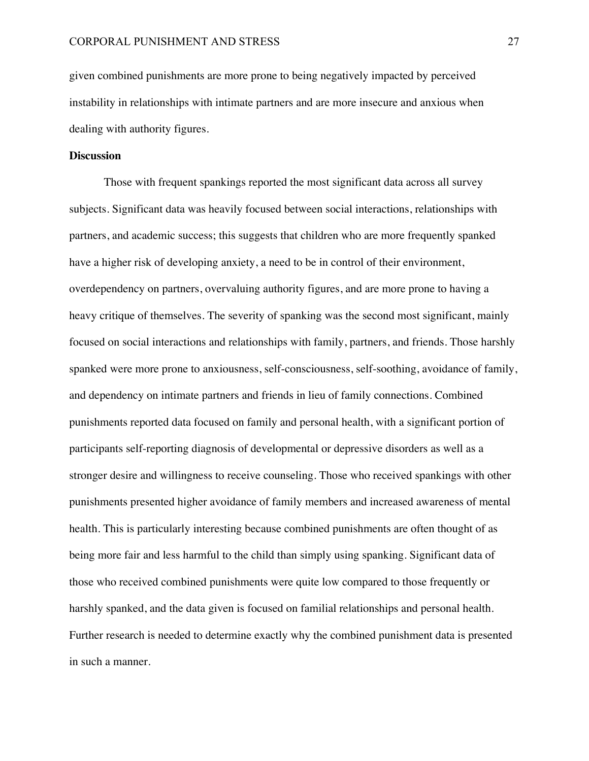given combined punishments are more prone to being negatively impacted by perceived instability in relationships with intimate partners and are more insecure and anxious when dealing with authority figures.

### **Discussion**

Those with frequent spankings reported the most significant data across all survey subjects. Significant data was heavily focused between social interactions, relationships with partners, and academic success; this suggests that children who are more frequently spanked have a higher risk of developing anxiety, a need to be in control of their environment, overdependency on partners, overvaluing authority figures, and are more prone to having a heavy critique of themselves. The severity of spanking was the second most significant, mainly focused on social interactions and relationships with family, partners, and friends. Those harshly spanked were more prone to anxiousness, self-consciousness, self-soothing, avoidance of family, and dependency on intimate partners and friends in lieu of family connections. Combined punishments reported data focused on family and personal health, with a significant portion of participants self-reporting diagnosis of developmental or depressive disorders as well as a stronger desire and willingness to receive counseling. Those who received spankings with other punishments presented higher avoidance of family members and increased awareness of mental health. This is particularly interesting because combined punishments are often thought of as being more fair and less harmful to the child than simply using spanking. Significant data of those who received combined punishments were quite low compared to those frequently or harshly spanked, and the data given is focused on familial relationships and personal health. Further research is needed to determine exactly why the combined punishment data is presented in such a manner.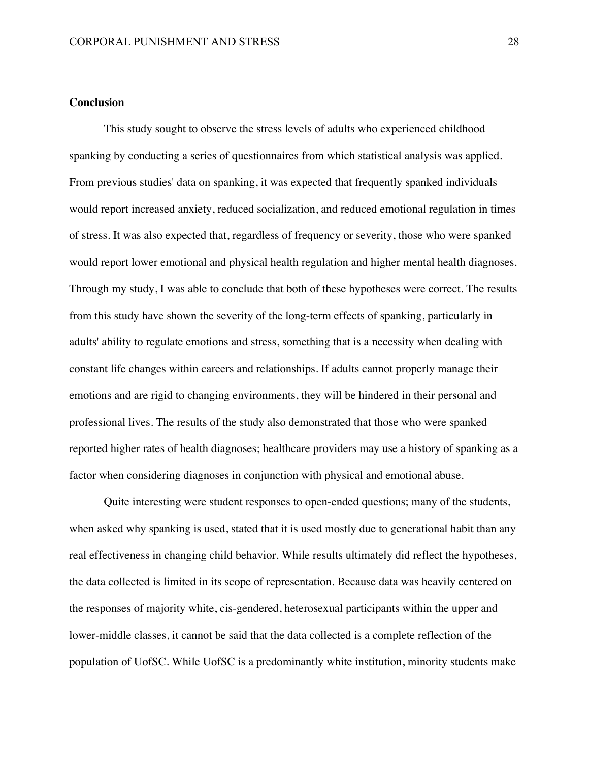### **Conclusion**

This study sought to observe the stress levels of adults who experienced childhood spanking by conducting a series of questionnaires from which statistical analysis was applied. From previous studies' data on spanking, it was expected that frequently spanked individuals would report increased anxiety, reduced socialization, and reduced emotional regulation in times of stress. It was also expected that, regardless of frequency or severity, those who were spanked would report lower emotional and physical health regulation and higher mental health diagnoses. Through my study, I was able to conclude that both of these hypotheses were correct. The results from this study have shown the severity of the long-term effects of spanking, particularly in adults' ability to regulate emotions and stress, something that is a necessity when dealing with constant life changes within careers and relationships. If adults cannot properly manage their emotions and are rigid to changing environments, they will be hindered in their personal and professional lives. The results of the study also demonstrated that those who were spanked reported higher rates of health diagnoses; healthcare providers may use a history of spanking as a factor when considering diagnoses in conjunction with physical and emotional abuse.

Quite interesting were student responses to open-ended questions; many of the students, when asked why spanking is used, stated that it is used mostly due to generational habit than any real effectiveness in changing child behavior. While results ultimately did reflect the hypotheses, the data collected is limited in its scope of representation. Because data was heavily centered on the responses of majority white, cis-gendered, heterosexual participants within the upper and lower-middle classes, it cannot be said that the data collected is a complete reflection of the population of UofSC. While UofSC is a predominantly white institution, minority students make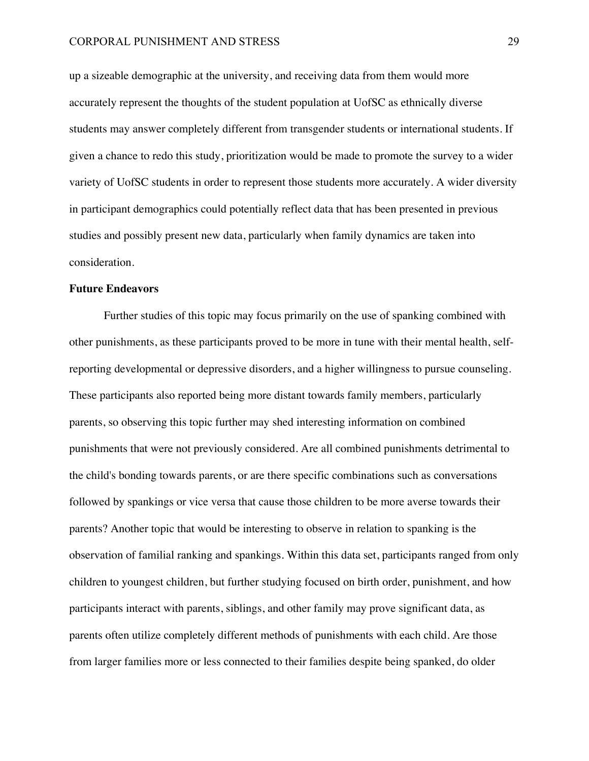up a sizeable demographic at the university, and receiving data from them would more accurately represent the thoughts of the student population at UofSC as ethnically diverse students may answer completely different from transgender students or international students. If given a chance to redo this study, prioritization would be made to promote the survey to a wider variety of UofSC students in order to represent those students more accurately. A wider diversity in participant demographics could potentially reflect data that has been presented in previous studies and possibly present new data, particularly when family dynamics are taken into consideration.

### **Future Endeavors**

Further studies of this topic may focus primarily on the use of spanking combined with other punishments, as these participants proved to be more in tune with their mental health, selfreporting developmental or depressive disorders, and a higher willingness to pursue counseling. These participants also reported being more distant towards family members, particularly parents, so observing this topic further may shed interesting information on combined punishments that were not previously considered. Are all combined punishments detrimental to the child's bonding towards parents, or are there specific combinations such as conversations followed by spankings or vice versa that cause those children to be more averse towards their parents? Another topic that would be interesting to observe in relation to spanking is the observation of familial ranking and spankings. Within this data set, participants ranged from only children to youngest children, but further studying focused on birth order, punishment, and how participants interact with parents, siblings, and other family may prove significant data, as parents often utilize completely different methods of punishments with each child. Are those from larger families more or less connected to their families despite being spanked, do older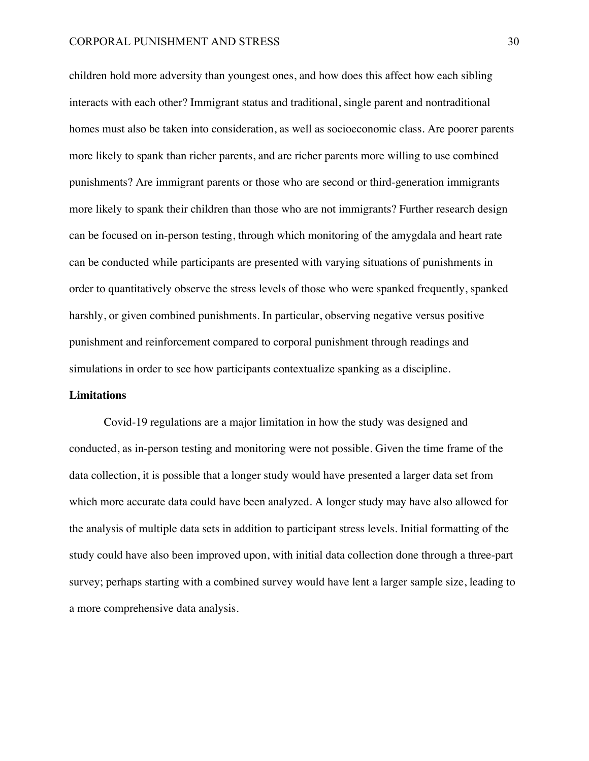### CORPORAL PUNISHMENT AND STRESS 30

children hold more adversity than youngest ones, and how does this affect how each sibling interacts with each other? Immigrant status and traditional, single parent and nontraditional homes must also be taken into consideration, as well as socioeconomic class. Are poorer parents more likely to spank than richer parents, and are richer parents more willing to use combined punishments? Are immigrant parents or those who are second or third-generation immigrants more likely to spank their children than those who are not immigrants? Further research design can be focused on in-person testing, through which monitoring of the amygdala and heart rate can be conducted while participants are presented with varying situations of punishments in order to quantitatively observe the stress levels of those who were spanked frequently, spanked harshly, or given combined punishments. In particular, observing negative versus positive punishment and reinforcement compared to corporal punishment through readings and simulations in order to see how participants contextualize spanking as a discipline.

### **Limitations**

Covid-19 regulations are a major limitation in how the study was designed and conducted, as in-person testing and monitoring were not possible. Given the time frame of the data collection, it is possible that a longer study would have presented a larger data set from which more accurate data could have been analyzed. A longer study may have also allowed for the analysis of multiple data sets in addition to participant stress levels. Initial formatting of the study could have also been improved upon, with initial data collection done through a three-part survey; perhaps starting with a combined survey would have lent a larger sample size, leading to a more comprehensive data analysis.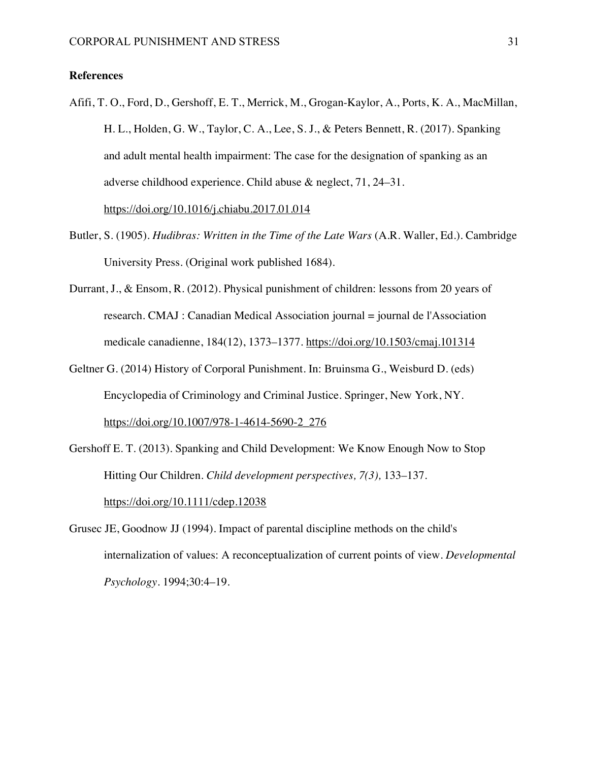### **References**

- Afifi, T. O., Ford, D., Gershoff, E. T., Merrick, M., Grogan-Kaylor, A., Ports, K. A., MacMillan, H. L., Holden, G. W., Taylor, C. A., Lee, S. J., & Peters Bennett, R. (2017). Spanking and adult mental health impairment: The case for the designation of spanking as an adverse childhood experience. Child abuse & neglect, 71, 24–31. https://doi.org/10.1016/j.chiabu.2017.01.014
- Butler, S. (1905). *Hudibras: Written in the Time of the Late Wars* (A.R. Waller, Ed.). Cambridge

University Press. (Original work published 1684).

- Durrant, J., & Ensom, R. (2012). Physical punishment of children: lessons from 20 years of research. CMAJ : Canadian Medical Association journal = journal de l'Association medicale canadienne, 184(12), 1373–1377. https://doi.org/10.1503/cmaj.101314
- Geltner G. (2014) History of Corporal Punishment. In: Bruinsma G., Weisburd D. (eds) Encyclopedia of Criminology and Criminal Justice. Springer, New York, NY. https://doi.org/10.1007/978-1-4614-5690-2\_276
- Gershoff E. T. (2013). Spanking and Child Development: We Know Enough Now to Stop Hitting Our Children. *Child development perspectives, 7(3),* 133–137. https://doi.org/10.1111/cdep.12038
- Grusec JE, Goodnow JJ (1994). Impact of parental discipline methods on the child's internalization of values: A reconceptualization of current points of view. *Developmental Psychology.* 1994;30:4–19.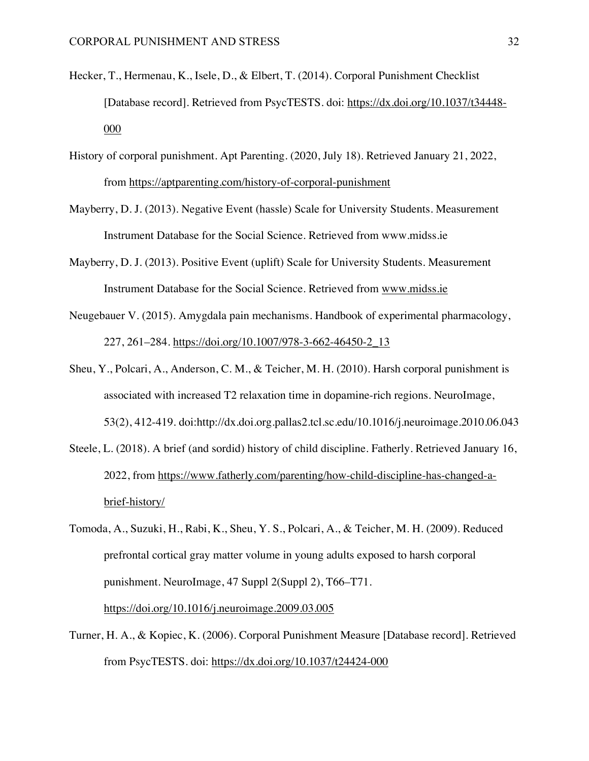- Hecker, T., Hermenau, K., Isele, D., & Elbert, T. (2014). Corporal Punishment Checklist [Database record]. Retrieved from PsycTESTS. doi: https://dx.doi.org/10.1037/t34448- 000
- History of corporal punishment. Apt Parenting. (2020, July 18). Retrieved January 21, 2022, from https://aptparenting.com/history-of-corporal-punishment
- Mayberry, D. J. (2013). Negative Event (hassle) Scale for University Students. Measurement Instrument Database for the Social Science. Retrieved from www.midss.ie
- Mayberry, D. J. (2013). Positive Event (uplift) Scale for University Students. Measurement Instrument Database for the Social Science. Retrieved from www.midss.ie
- Neugebauer V. (2015). Amygdala pain mechanisms. Handbook of experimental pharmacology, 227, 261–284. https://doi.org/10.1007/978-3-662-46450-2\_13
- Sheu, Y., Polcari, A., Anderson, C. M., & Teicher, M. H. (2010). Harsh corporal punishment is associated with increased T2 relaxation time in dopamine-rich regions. NeuroImage, 53(2), 412-419. doi:http://dx.doi.org.pallas2.tcl.sc.edu/10.1016/j.neuroimage.2010.06.043
- Steele, L. (2018). A brief (and sordid) history of child discipline. Fatherly. Retrieved January 16, 2022, from https://www.fatherly.com/parenting/how-child-discipline-has-changed-abrief-history/
- Tomoda, A., Suzuki, H., Rabi, K., Sheu, Y. S., Polcari, A., & Teicher, M. H. (2009). Reduced prefrontal cortical gray matter volume in young adults exposed to harsh corporal punishment. NeuroImage, 47 Suppl 2(Suppl 2), T66–T71.

https://doi.org/10.1016/j.neuroimage.2009.03.005

Turner, H. A., & Kopiec, K. (2006). Corporal Punishment Measure [Database record]. Retrieved from PsycTESTS. doi: https://dx.doi.org/10.1037/t24424-000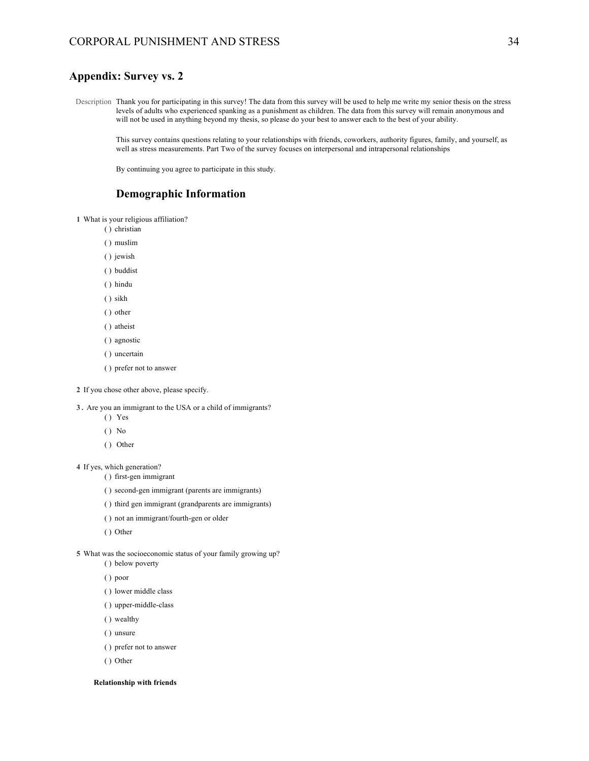### **Appendix: Survey vs. 2**

Description Thank you for participating in this survey! The data from this survey will be used to help me write my senior thesis on the stress levels of adults who experienced spanking as a punishment as children. The data from this survey will remain anonymous and will not be used in anything beyond my thesis, so please do your best to answer each to the best of your ability.

This survey contains questions relating to your relationships with friends, coworkers, authority figures, family, and yourself, as well as stress measurements. Part Two of the survey focuses on interpersonal and intrapersonal relationships

By continuing you agree to participate in this study.

### **Demographic Information**

- **1** What is your religious affiliation?
	- ( ) christian
	- ( ) muslim
	- ( ) jewish
	- ( ) buddist
	- ( ) hindu
	- ( ) sikh
	- ( ) other
	- ( ) atheist
	- ( ) agnostic
	- ( ) uncertain
	- ( ) prefer not to answer
- **2** If you chose other above, please specify.
- **3 .** Are you an immigrant to the USA or a child of immigrants?
	- ( ) Yes
	- ( ) No
	- ( ) Other
- **4** If yes, which generation?
	- ( ) first-gen immigrant
	- ( ) second-gen immigrant (parents are immigrants)
	- ( ) third gen immigrant (grandparents are immigrants)
	- ( ) not an immigrant/fourth-gen or older
	- ( ) Other
- **5** What was the socioeconomic status of your family growing up?
	- ( ) below poverty
	- ( ) poor
	- ( ) lower middle class
	- ( ) upper-middle-class
	- ( ) wealthy
	- ( ) unsure
	- ( ) prefer not to answer
	- ( ) Other

#### **Relationship with friends**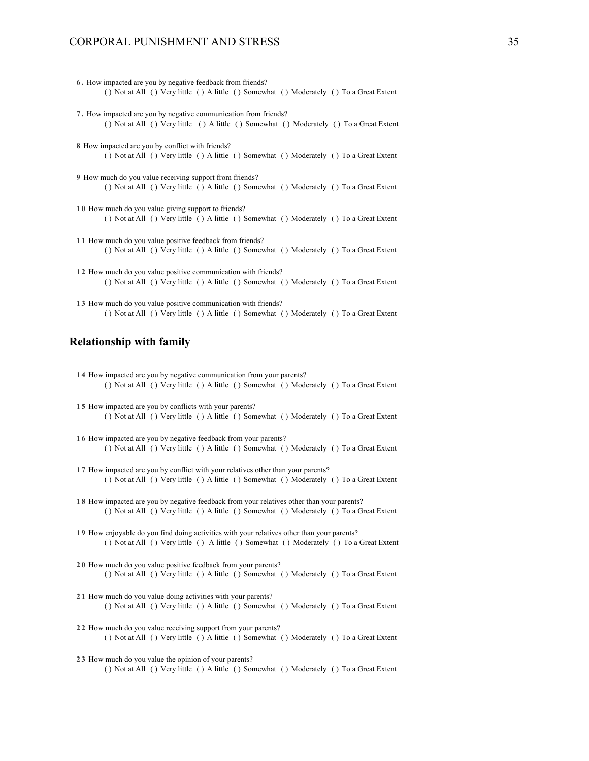### CORPORAL PUNISHMENT AND STRESS 35

| 6. How impacted are you by negative feedback from friends?<br>() Not at All () Very little () A little () Somewhat () Moderately () To a Great Extent    |
|----------------------------------------------------------------------------------------------------------------------------------------------------------|
|                                                                                                                                                          |
| 7. How impacted are you by negative communication from friends?                                                                                          |
| () Not at All () Very little () A little () Somewhat () Moderately () To a Great Extent                                                                  |
| 8 How impacted are you by conflict with friends?                                                                                                         |
| () Not at All () Very little () A little () Somewhat () Moderately () To a Great Extent                                                                  |
|                                                                                                                                                          |
| 9 How much do you value receiving support from friends?<br>() Not at All () Very little () A little () Somewhat () Moderately () To a Great Extent       |
|                                                                                                                                                          |
| 10 How much do you value giving support to friends?                                                                                                      |
| () Not at All () Very little () A little () Somewhat () Moderately () To a Great Extent                                                                  |
| 11 How much do you value positive feedback from friends?                                                                                                 |
| () Not at All () Very little () A little () Somewhat () Moderately () To a Great Extent                                                                  |
|                                                                                                                                                          |
| 12 How much do you value positive communication with friends?<br>() Not at All () Very little () A little () Somewhat () Moderately () To a Great Extent |
|                                                                                                                                                          |
| 13 How much do you value positive communication with friends?                                                                                            |
| () Not at All () Very little () A little () Somewhat () Moderately () To a Great Extent                                                                  |

#### **Relationship with family**

- **1 4** How impacted are you by negative communication from your parents? ( ) Not at All ( ) Very little ( ) A little ( ) Somewhat ( ) Moderately ( ) To a Great Extent
- **1 5** How impacted are you by conflicts with your parents? ( ) Not at All ( ) Very little ( ) A little ( ) Somewhat ( ) Moderately ( ) To a Great Extent
- **1 6** How impacted are you by negative feedback from your parents? ( ) Not at All ( ) Very little ( ) A little ( ) Somewhat ( ) Moderately ( ) To a Great Extent
- **1 7** How impacted are you by conflict with your relatives other than your parents? ( ) Not at All ( ) Very little ( ) A little ( ) Somewhat ( ) Moderately ( ) To a Great Extent
- **1 8** How impacted are you by negative feedback from your relatives other than your parents? ( ) Not at All ( ) Very little ( ) A little ( ) Somewhat ( ) Moderately ( ) To a Great Extent
- **1 9** How enjoyable do you find doing activities with your relatives other than your parents? ( ) Not at All ( ) Very little ( ) A little ( ) Somewhat ( ) Moderately ( ) To a Great Extent
- **2 0** How much do you value positive feedback from your parents? ( ) Not at All ( ) Very little ( ) A little ( ) Somewhat ( ) Moderately ( ) To a Great Extent
- **2 1** How much do you value doing activities with your parents? ( ) Not at All ( ) Very little ( ) A little ( ) Somewhat ( ) Moderately ( ) To a Great Extent
- **2 2** How much do you value receiving support from your parents? ( ) Not at All ( ) Very little ( ) A little ( ) Somewhat ( ) Moderately ( ) To a Great Extent
- **2 3** How much do you value the opinion of your parents? ( ) Not at All ( ) Very little ( ) A little ( ) Somewhat ( ) Moderately ( ) To a Great Extent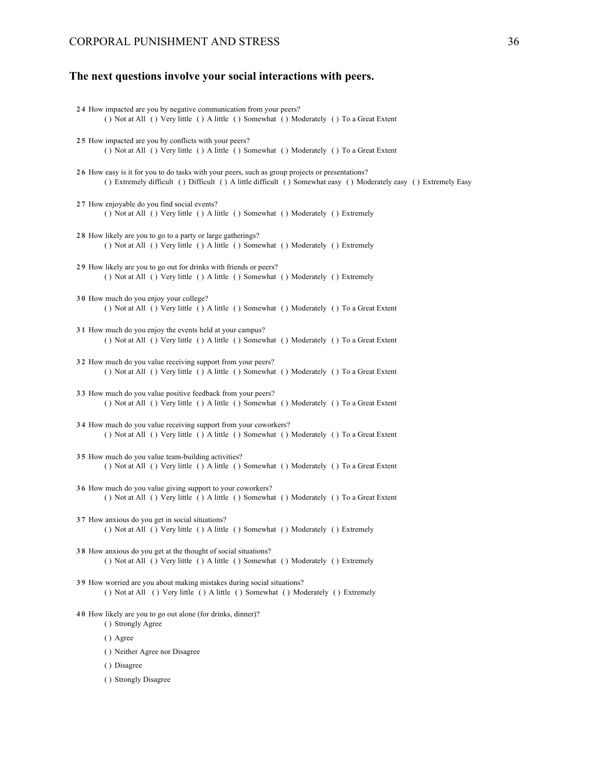### CORPORAL PUNISHMENT AND STRESS 36

#### **The next questions involve your social interactions with peers.**

- **2 4** How impacted are you by negative communication from your peers? ( ) Not at All ( ) Very little ( ) A little ( ) Somewhat ( ) Moderately ( ) To a Great Extent **2 5** How impacted are you by conflicts with your peers? ( ) Not at All ( ) Very little ( ) A little ( ) Somewhat ( ) Moderately ( ) To a Great Extent **2 6** How easy is it for you to do tasks with your peers, such as group projects or presentations? ( ) Extremely difficult ( ) Difficult ( ) A little difficult ( ) Somewhat easy ( ) Moderately easy ( ) Extremely Easy **2 7** How enjoyable do you find social events? ( ) Not at All ( ) Very little ( ) A little ( ) Somewhat ( ) Moderately ( ) Extremely **2 8** How likely are you to go to a party or large gatherings? ( ) Not at All ( ) Very little ( ) A little ( ) Somewhat ( ) Moderately ( ) Extremely **2 9** How likely are you to go out for drinks with friends or peers? ( ) Not at All ( ) Very little ( ) A little ( ) Somewhat ( ) Moderately ( ) Extremely **3 0** How much do you enjoy your college? ( ) Not at All ( ) Very little ( ) A little ( ) Somewhat ( ) Moderately ( ) To a Great Extent **3 1** How much do you enjoy the events held at your campus? ( ) Not at All ( ) Very little ( ) A little ( ) Somewhat ( ) Moderately ( ) To a Great Extent **3 2** How much do you value receiving support from your peers? ( ) Not at All ( ) Very little ( ) A little ( ) Somewhat ( ) Moderately ( ) To a Great Extent **3 3** How much do you value positive feedback from your peers? ( ) Not at All ( ) Very little ( ) A little ( ) Somewhat ( ) Moderately ( ) To a Great Extent **3 4** How much do you value receiving support from your coworkers? ( ) Not at All ( ) Very little ( ) A little ( ) Somewhat ( ) Moderately ( ) To a Great Extent **3 5** How much do you value team-building activities? ( ) Not at All ( ) Very little ( ) A little ( ) Somewhat ( ) Moderately ( ) To a Great Extent **3 6** How much do you value giving support to your coworkers? ( ) Not at All ( ) Very little ( ) A little ( ) Somewhat ( ) Moderately ( ) To a Great Extent **3 7** How anxious do you get in social situations? ( ) Not at All ( ) Very little ( ) A little ( ) Somewhat ( ) Moderately ( ) Extremely **3 8** How anxious do you get at the thought of social situations? ( ) Not at All ( ) Very little ( ) A little ( ) Somewhat ( ) Moderately ( ) Extremely **3 9** How worried are you about making mistakes during social situations? ( ) Not at All ( ) Very little ( ) A little ( ) Somewhat ( ) Moderately ( ) Extremely **4 0** How likely are you to go out alone (for drinks, dinner)? ( ) Strongly Agree ( ) Agree ( ) Neither Agree nor Disagree ( ) Disagree
	- ( ) Strongly Disagree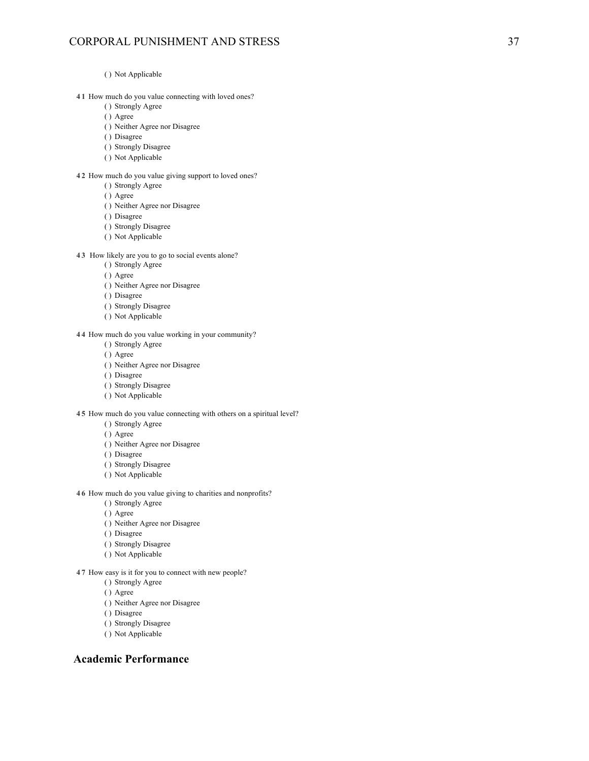- ( ) Not Applicable
- **4 1** How much do you value connecting with loved ones?
	- ( ) Strongly Agree
	- ( ) Agree
	- ( ) Neither Agree nor Disagree
	- ( ) Disagree
	- ( ) Strongly Disagree
	- ( ) Not Applicable

#### **4 2** How much do you value giving support to loved ones?

- ( ) Strongly Agree
- ( ) Agree
- ( ) Neither Agree nor Disagree
- ( ) Disagree
- ( ) Strongly Disagree
- ( ) Not Applicable
- **43** How likely are you to go to social events alone?
	- ( ) Strongly Agree
	- ( ) Agree
	- ( ) Neither Agree nor Disagree
	- ( ) Disagree
	- ( ) Strongly Disagree
	- ( ) Not Applicable

#### **4 4** How much do you value working in your community?

- ( ) Strongly Agree
- ( ) Agree
- ( ) Neither Agree nor Disagree
- ( ) Disagree
- ( ) Strongly Disagree
- ( ) Not Applicable

#### **4 5** How much do you value connecting with others on a spiritual level?

- ( ) Strongly Agree
- ( ) Agree
- ( ) Neither Agree nor Disagree
- ( ) Disagree
- ( ) Strongly Disagree
- ( ) Not Applicable
- **4 6** How much do you value giving to charities and nonprofits?
	- ( ) Strongly Agree
	- ( ) Agree
	- ( ) Neither Agree nor Disagree
	- ( ) Disagree
	- ( ) Strongly Disagree
	- ( ) Not Applicable
- **4 7** How easy is it for you to connect with new people?
	- ( ) Strongly Agree
	- ( ) Agree
	- ( ) Neither Agree nor Disagree
	- ( ) Disagree
	- ( ) Strongly Disagree
	- ( ) Not Applicable

### **Academic Performance**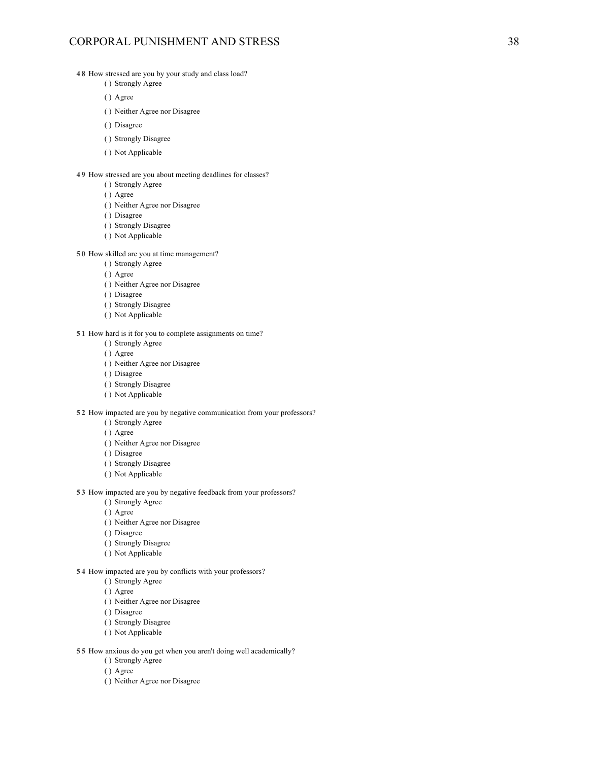### CORPORAL PUNISHMENT AND STRESS 38

- **4 8** How stressed are you by your study and class load?
	- ( ) Strongly Agree
	- ( ) Agree
	- ( ) Neither Agree nor Disagree
	- ( ) Disagree
	- ( ) Strongly Disagree
	- ( ) Not Applicable

#### **4 9** How stressed are you about meeting deadlines for classes?

- ( ) Strongly Agree
- ( ) Agree
- ( ) Neither Agree nor Disagree
- ( ) Disagree
- ( ) Strongly Disagree
- ( ) Not Applicable

#### **5 0** How skilled are you at time management?

- ( ) Strongly Agree
- ( ) Agree
- ( ) Neither Agree nor Disagree
- ( ) Disagree
- ( ) Strongly Disagree
- ( ) Not Applicable

#### **5 1** How hard is it for you to complete assignments on time?

- ( ) Strongly Agree
- ( ) Agree
- ( ) Neither Agree nor Disagree
- ( ) Disagree
- ( ) Strongly Disagree
- ( ) Not Applicable

#### **5 2** How impacted are you by negative communication from your professors?

- ( ) Strongly Agree
- ( ) Agree
- ( ) Neither Agree nor Disagree
- ( ) Disagree
- ( ) Strongly Disagree
- ( ) Not Applicable

#### **5 3** How impacted are you by negative feedback from your professors?

- ( ) Strongly Agree
- ( ) Agree
- ( ) Neither Agree nor Disagree
- ( ) Disagree
- ( ) Strongly Disagree
- ( ) Not Applicable

#### **5 4** How impacted are you by conflicts with your professors?

- ( ) Strongly Agree
- ( ) Agree
- ( ) Neither Agree nor Disagree
- ( ) Disagree
- ( ) Strongly Disagree
- ( ) Not Applicable
- **5 5** How anxious do you get when you aren't doing well academically?
	- ( ) Strongly Agree
	- ( ) Agree
	- ( ) Neither Agree nor Disagree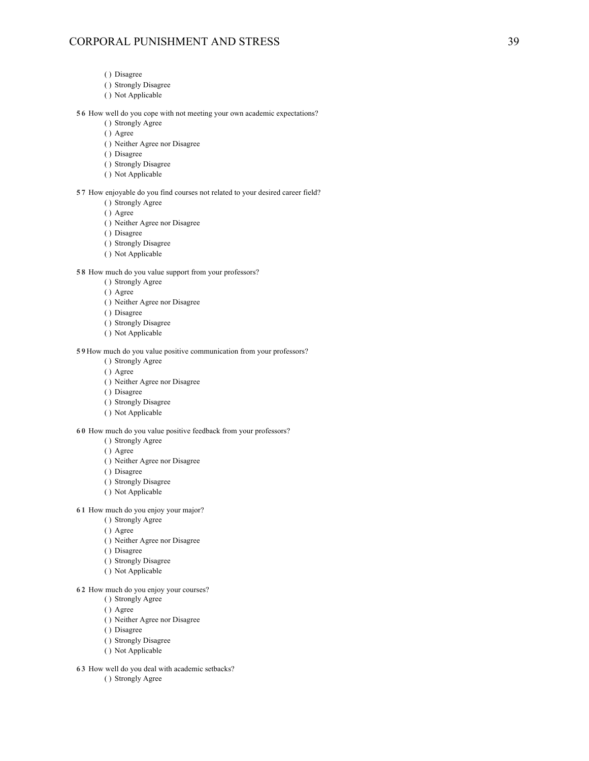- ( ) Disagree
- ( ) Strongly Disagree
- ( ) Not Applicable

**5 6** How well do you cope with not meeting your own academic expectations?

- ( ) Strongly Agree
- ( ) Agree
- ( ) Neither Agree nor Disagree
- ( ) Disagree
- ( ) Strongly Disagree
- ( ) Not Applicable

#### **5 7** How enjoyable do you find courses not related to your desired career field?

- ( ) Strongly Agree
- ( ) Agree
- ( ) Neither Agree nor Disagree
- ( ) Disagree
- ( ) Strongly Disagree
- ( ) Not Applicable

#### **5 8** How much do you value support from your professors?

- ( ) Strongly Agree
- ( ) Agree
- ( ) Neither Agree nor Disagree
- ( ) Disagree
- ( ) Strongly Disagree
- ( ) Not Applicable

#### **5 9** How much do you value positive communication from your professors?

- ( ) Strongly Agree
- ( ) Agree
- ( ) Neither Agree nor Disagree
- ( ) Disagree
- ( ) Strongly Disagree
- ( ) Not Applicable

#### **6 0** How much do you value positive feedback from your professors?

- ( ) Strongly Agree
- ( ) Agree
- ( ) Neither Agree nor Disagree
- ( ) Disagree
- ( ) Strongly Disagree
- ( ) Not Applicable

#### **6 1** How much do you enjoy your major?

- ( ) Strongly Agree
- ( ) Agree
- ( ) Neither Agree nor Disagree
- ( ) Disagree
- ( ) Strongly Disagree
- ( ) Not Applicable

#### **6 2** How much do you enjoy your courses?

- ( ) Strongly Agree
- ( ) Agree
- ( ) Neither Agree nor Disagree
- ( ) Disagree
- ( ) Strongly Disagree
- ( ) Not Applicable
- **6 3** How well do you deal with academic setbacks?
	- ( ) Strongly Agree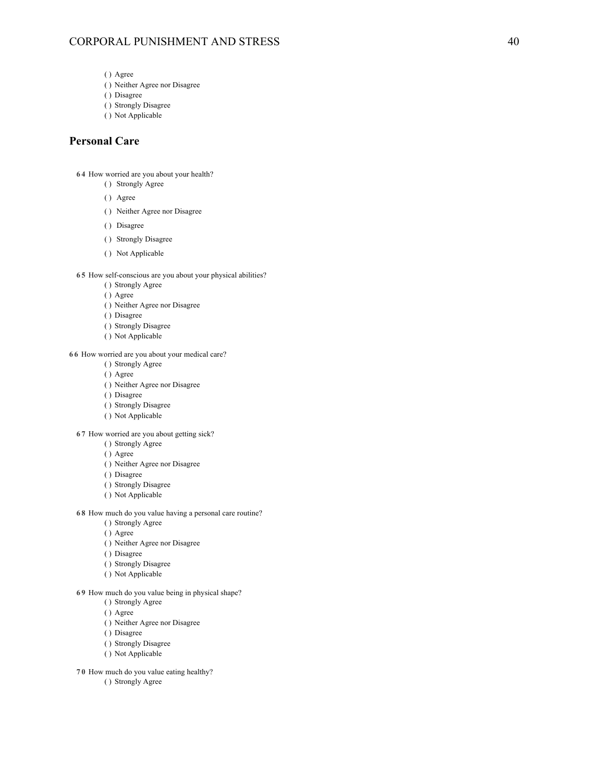- ( ) Agree
- ( ) Neither Agree nor Disagree
- ( ) Disagree
- ( ) Strongly Disagree
- ( ) Not Applicable

### **Personal Care**

- **6 4** How worried are you about your health?
	- ( ) Strongly Agree
	- ( ) Agree
	- ( ) Neither Agree nor Disagree
	- ( ) Disagree
	- ( ) Strongly Disagree
	- ( ) Not Applicable

**6 5** How self-conscious are you about your physical abilities?

- ( ) Strongly Agree
- ( ) Agree
- ( ) Neither Agree nor Disagree
- ( ) Disagree
- ( ) Strongly Disagree
- ( ) Not Applicable

#### **6 6** How worried are you about your medical care?

- ( ) Strongly Agree
- ( ) Agree
- ( ) Neither Agree nor Disagree
- ( ) Disagree
- ( ) Strongly Disagree
- ( ) Not Applicable

#### **6 7** How worried are you about getting sick?

- ( ) Strongly Agree
- ( ) Agree
- ( ) Neither Agree nor Disagree
- ( ) Disagree
- ( ) Strongly Disagree
- ( ) Not Applicable

#### **6 8** How much do you value having a personal care routine?

- ( ) Strongly Agree
- ( ) Agree
- ( ) Neither Agree nor Disagree
- ( ) Disagree
- ( ) Strongly Disagree
- ( ) Not Applicable
- **6 9** How much do you value being in physical shape?
	- ( ) Strongly Agree
	- ( ) Agree
	- ( ) Neither Agree nor Disagree
	- ( ) Disagree
	- ( ) Strongly Disagree
	- ( ) Not Applicable
- **7 0** How much do you value eating healthy?

( ) Strongly Agree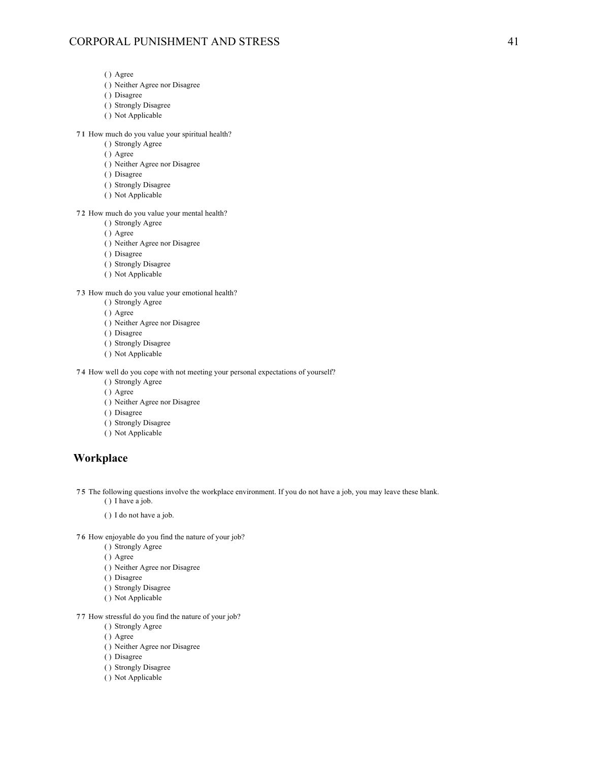- ( ) Agree
- ( ) Neither Agree nor Disagree
- ( ) Disagree
- ( ) Strongly Disagree
- ( ) Not Applicable
- **7 1** How much do you value your spiritual health?
	- ( ) Strongly Agree
	- ( ) Agree
	- ( ) Neither Agree nor Disagree
	- ( ) Disagree
	- ( ) Strongly Disagree
	- ( ) Not Applicable

#### **7 2** How much do you value your mental health?

- ( ) Strongly Agree
- ( ) Agree
- ( ) Neither Agree nor Disagree
- ( ) Disagree
- ( ) Strongly Disagree
- ( ) Not Applicable

**7 3** How much do you value your emotional health?

- ( ) Strongly Agree
- ( ) Agree
- ( ) Neither Agree nor Disagree
- ( ) Disagree
- ( ) Strongly Disagree
- ( ) Not Applicable

**7 4** How well do you cope with not meeting your personal expectations of yourself?

- ( ) Strongly Agree
- ( ) Agree
- ( ) Neither Agree nor Disagree
- ( ) Disagree
- ( ) Strongly Disagree
- ( ) Not Applicable

### **Workplace**

- **7 5** The following questions involve the workplace environment. If you do not have a job, you may leave these blank. ( ) I have a job.
	- ( ) I do not have a job.
- **7 6** How enjoyable do you find the nature of your job?
	- ( ) Strongly Agree
	- ( ) Agree
	- ( ) Neither Agree nor Disagree
	- ( ) Disagree
	- ( ) Strongly Disagree
	- ( ) Not Applicable
- **7 7** How stressful do you find the nature of your job?
	- ( ) Strongly Agree
	- ( ) Agree
	- ( ) Neither Agree nor Disagree
	- ( ) Disagree
	- ( ) Strongly Disagree
	- ( ) Not Applicable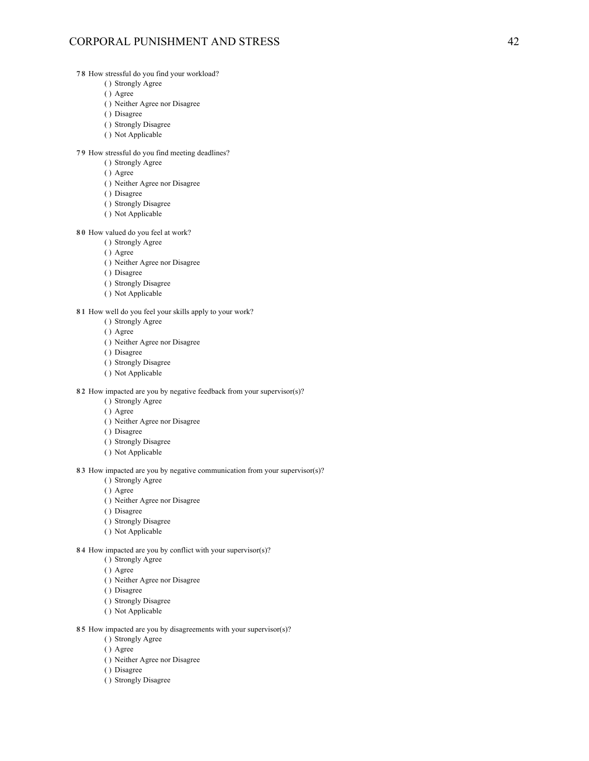- **7 8** How stressful do you find your workload?
	- ( ) Strongly Agree
	- ( ) Agree
	- ( ) Neither Agree nor Disagree
	- ( ) Disagree
	- ( ) Strongly Disagree
	- ( ) Not Applicable
- **7 9** How stressful do you find meeting deadlines?
	- ( ) Strongly Agree
	- ( ) Agree
	- ( ) Neither Agree nor Disagree
	- ( ) Disagree
	- ( ) Strongly Disagree
	- ( ) Not Applicable

#### **8 0** How valued do you feel at work?

- ( ) Strongly Agree
- ( ) Agree
- ( ) Neither Agree nor Disagree
- ( ) Disagree
- ( ) Strongly Disagree
- ( ) Not Applicable
- **8 1** How well do you feel your skills apply to your work?
	- ( ) Strongly Agree
	- ( ) Agree
	- ( ) Neither Agree nor Disagree
	- ( ) Disagree
	- ( ) Strongly Disagree
	- ( ) Not Applicable

**8 2** How impacted are you by negative feedback from your supervisor(s)?

- ( ) Strongly Agree
- ( ) Agree
- ( ) Neither Agree nor Disagree
- ( ) Disagree
- ( ) Strongly Disagree
- ( ) Not Applicable

#### **8 3** How impacted are you by negative communication from your supervisor(s)?

- ( ) Strongly Agree
- ( ) Agree
- ( ) Neither Agree nor Disagree
- ( ) Disagree
- ( ) Strongly Disagree
- ( ) Not Applicable
- **8 4** How impacted are you by conflict with your supervisor(s)?
	- ( ) Strongly Agree
	- ( ) Agree
	- ( ) Neither Agree nor Disagree
	- ( ) Disagree
	- ( ) Strongly Disagree
	- ( ) Not Applicable
- **8 5** How impacted are you by disagreements with your supervisor(s)?
	- ( ) Strongly Agree
	- ( ) Agree
	- ( ) Neither Agree nor Disagree
	- ( ) Disagree
	- ( ) Strongly Disagree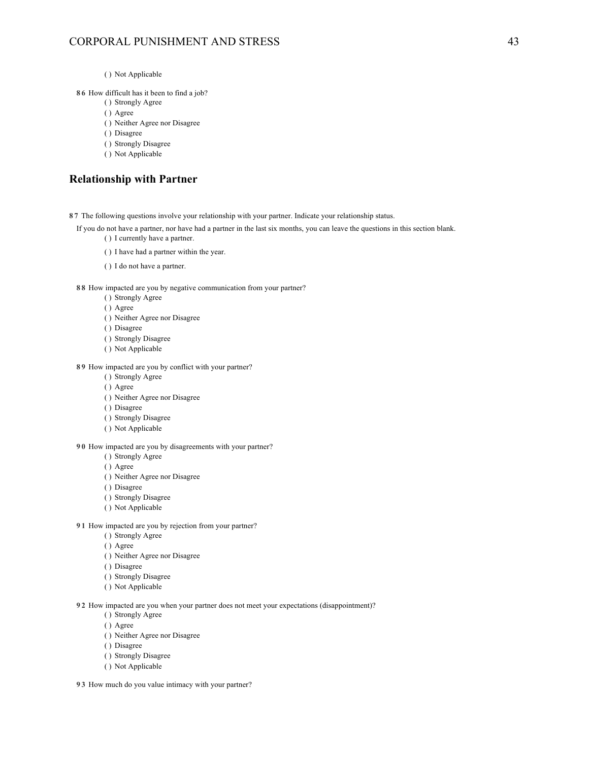- ( ) Not Applicable
- **8 6** How difficult has it been to find a job?
	- ( ) Strongly Agree
	- ( ) Agree
	- ( ) Neither Agree nor Disagree
	- ( ) Disagree
	- ( ) Strongly Disagree
	- ( ) Not Applicable

### **Relationship with Partner**

**8 7** The following questions involve your relationship with your partner. Indicate your relationship status.

If you do not have a partner, nor have had a partner in the last six months, you can leave the questions in this section blank.

- ( ) I currently have a partner.
- ( ) I have had a partner within the year.
- ( ) I do not have a partner.

#### **8 8** How impacted are you by negative communication from your partner?

- ( ) Strongly Agree
- ( ) Agree
- ( ) Neither Agree nor Disagree
- ( ) Disagree
- ( ) Strongly Disagree
- ( ) Not Applicable

#### **8 9** How impacted are you by conflict with your partner?

- ( ) Strongly Agree
- ( ) Agree
- ( ) Neither Agree nor Disagree
- ( ) Disagree
- ( ) Strongly Disagree
- ( ) Not Applicable

#### **9 0** How impacted are you by disagreements with your partner?

- ( ) Strongly Agree
- ( ) Agree
- ( ) Neither Agree nor Disagree
- ( ) Disagree
- ( ) Strongly Disagree
- ( ) Not Applicable
- **9 1** How impacted are you by rejection from your partner?
	- ( ) Strongly Agree
	- ( ) Agree
	- ( ) Neither Agree nor Disagree
	- ( ) Disagree
	- ( ) Strongly Disagree
	- ( ) Not Applicable
- **9 2** How impacted are you when your partner does not meet your expectations (disappointment)?
	- ( ) Strongly Agree
	- ( ) Agree
	- ( ) Neither Agree nor Disagree
	- ( ) Disagree
	- ( ) Strongly Disagree
	- ( ) Not Applicable
- **9 3** How much do you value intimacy with your partner?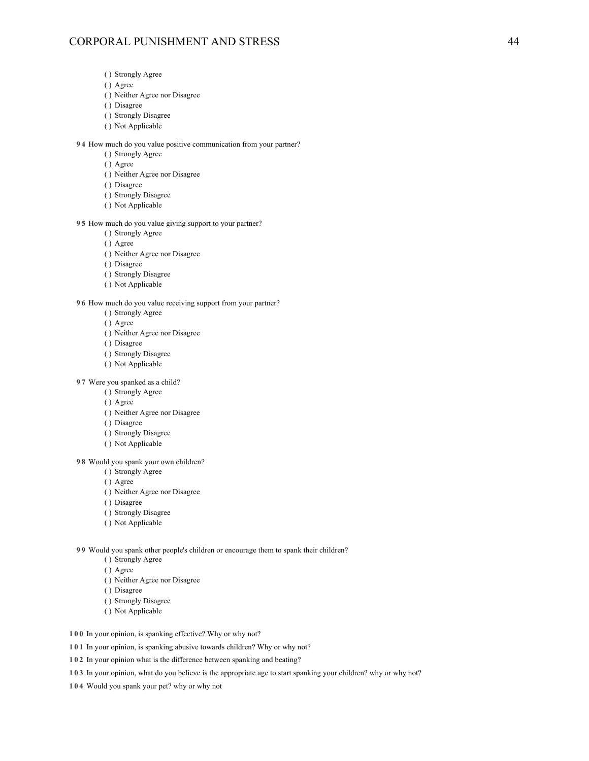- ( ) Strongly Agree
- ( ) Agree
- ( ) Neither Agree nor Disagree
- ( ) Disagree
- ( ) Strongly Disagree
- ( ) Not Applicable

#### **9 4** How much do you value positive communication from your partner?

- ( ) Strongly Agree
- ( ) Agree
- ( ) Neither Agree nor Disagree
- ( ) Disagree
- ( ) Strongly Disagree
- ( ) Not Applicable

#### **9 5** How much do you value giving support to your partner?

- ( ) Strongly Agree
- ( ) Agree
- ( ) Neither Agree nor Disagree
- ( ) Disagree
- ( ) Strongly Disagree
- ( ) Not Applicable

#### **9 6** How much do you value receiving support from your partner?

- ( ) Strongly Agree
- ( ) Agree
- ( ) Neither Agree nor Disagree
- ( ) Disagree
- ( ) Strongly Disagree
- ( ) Not Applicable

#### **9 7** Were you spanked as a child?

- ( ) Strongly Agree
- ( ) Agree
- ( ) Neither Agree nor Disagree
- ( ) Disagree
- ( ) Strongly Disagree
- ( ) Not Applicable

#### **9 8** Would you spank your own children?

- ( ) Strongly Agree
- ( ) Agree
- ( ) Neither Agree nor Disagree
- ( ) Disagree
- ( ) Strongly Disagree
- ( ) Not Applicable

#### **9 9** Would you spank other people's children or encourage them to spank their children?

- ( ) Strongly Agree
- ( ) Agree
- ( ) Neither Agree nor Disagree
- ( ) Disagree
- ( ) Strongly Disagree
- ( ) Not Applicable

**100** In your opinion, is spanking effective? Why or why not?

- **101** In your opinion, is spanking abusive towards children? Why or why not?
- **102** In your opinion what is the difference between spanking and beating?
- **103** In your opinion, what do you believe is the appropriate age to start spanking your children? why or why not?
- **104** Would you spank your pet? why or why not